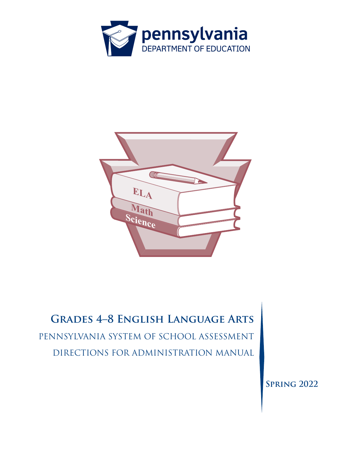



## **Grades 4–8 English Language Arts**

PENNSYLVANIA SYSTEM OF SCHOOL ASSESSMENT DIRECTIONS FOR ADMINISTRATION MANUAL

**Spring 2022**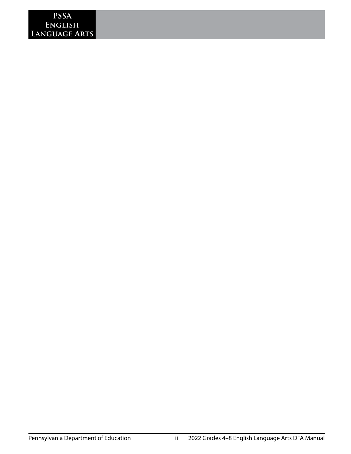## **PSSA English Language Arts**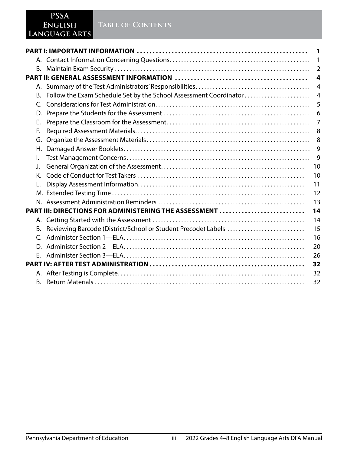## **Table of Contents**

## **PSSA English Language Arts**

|               |                                                                   | 1              |
|---------------|-------------------------------------------------------------------|----------------|
| B.            |                                                                   | $\overline{2}$ |
|               |                                                                   | 4              |
|               |                                                                   | $\overline{4}$ |
| B.            | Follow the Exam Schedule Set by the School Assessment Coordinator | $\overline{4}$ |
| C.            |                                                                   | 5              |
| D.            |                                                                   | 6              |
| Е.            |                                                                   | 7              |
| F.            |                                                                   | 8              |
| G.            |                                                                   | 8              |
| Η.            |                                                                   | 9              |
| L.            |                                                                   | 9              |
| J.            |                                                                   | 10             |
| Κ.            |                                                                   | 10             |
|               |                                                                   | 11             |
|               |                                                                   | 12             |
| N.            |                                                                   | 13             |
|               | PART III: DIRECTIONS FOR ADMINISTERING THE ASSESSMENT             | 14             |
|               |                                                                   | 14             |
| B.            | Reviewing Barcode (District/School or Student Precode) Labels     | 15             |
| $\mathcal{C}$ |                                                                   | 16             |
| D.            |                                                                   | 20             |
| F.            |                                                                   | 26             |
|               |                                                                   | 32             |
|               |                                                                   | 32             |
| B.            |                                                                   | 32             |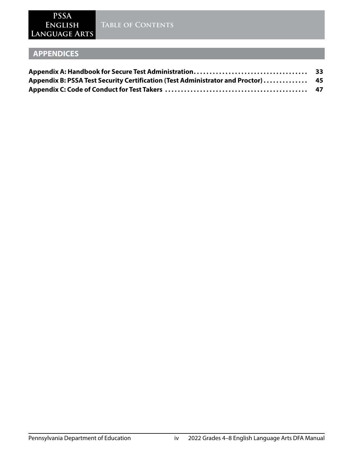

## **APPENDICES**

| Appendix B: PSSA Test Security Certification (Test Administrator and Proctor)  45 |  |
|-----------------------------------------------------------------------------------|--|
|                                                                                   |  |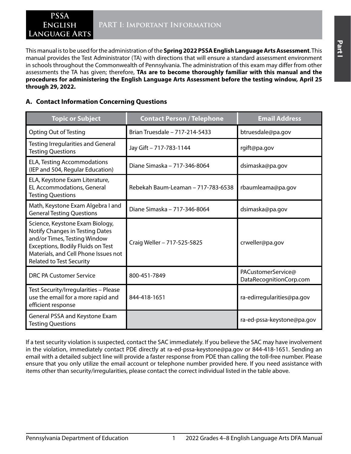This manual is to be used for the administration of the **Spring 2022 PSSA English Language Arts Assessment**. This manual provides the Test Administrator (TA) with directions that will ensure a standard assessment environment in schools throughout the Commonwealth of Pennsylvania. The administration of this exam may differ from other assessments the TA has given; therefore, **TAs are to become thoroughly familiar with this manual and the procedures for administering the English Language Arts Assessment before the testing window, April 25 through 29, 2022 .**

## **A. Contact Information Concerning Questions**

<span id="page-4-0"></span>**PSSA English Language Arts**

| <b>Topic or Subject</b>                                                                                                                                                                                            | <b>Contact Person / Telephone</b>  | <b>Email Address</b>                          |
|--------------------------------------------------------------------------------------------------------------------------------------------------------------------------------------------------------------------|------------------------------------|-----------------------------------------------|
| <b>Opting Out of Testing</b>                                                                                                                                                                                       | Brian Truesdale - 717-214-5433     | btruesdale@pa.gov                             |
| <b>Testing Irregularities and General</b><br><b>Testing Questions</b>                                                                                                                                              | Jay Gift - 717-783-1144            | rgift@pa.gov                                  |
| <b>ELA, Testing Accommodations</b><br>(IEP and 504, Regular Education)                                                                                                                                             | Diane Simaska - 717-346-8064       | dsimaska@pa.gov                               |
| ELA, Keystone Exam Literature,<br><b>EL Accommodations, General</b><br><b>Testing Questions</b>                                                                                                                    | Rebekah Baum-Leaman - 717-783-6538 | rbaumleama@pa.gov                             |
| Math, Keystone Exam Algebra I and<br><b>General Testing Questions</b>                                                                                                                                              | Diane Simaska - 717-346-8064       | dsimaska@pa.gov                               |
| Science, Keystone Exam Biology,<br>Notify Changes in Testing Dates<br>and/or Times, Testing Window<br>Exceptions, Bodily Fluids on Test<br>Materials, and Cell Phone Issues not<br><b>Related to Test Security</b> | Craig Weller - 717-525-5825        | crweller@pa.gov                               |
| <b>DRC PA Customer Service</b>                                                                                                                                                                                     | 800-451-7849                       | PACustomerService@<br>DataRecognitionCorp.com |
| Test Security/Irregularities - Please<br>use the email for a more rapid and<br>efficient response                                                                                                                  | 844-418-1651                       | ra-edirregularities@pa.gov                    |
| General PSSA and Keystone Exam<br><b>Testing Questions</b>                                                                                                                                                         |                                    | ra-ed-pssa-keystone@pa.gov                    |

If a test security violation is suspected, contact the SAC immediately. If you believe the SAC may have involvement in the violation, immediately contact PDE directly at [ra-ed-pssa-keystone@pa.gov](mailto:ra-ed-pssa-keystone%40pa.gov?subject=) or 844-418-1651. Sending an email with a detailed subject line will provide a faster response from PDE than calling the toll-free number. Please ensure that you only utilize the email account or telephone number provided here. If you need assistance with items other than security/irregularities, please contact the correct individual listed in the table above.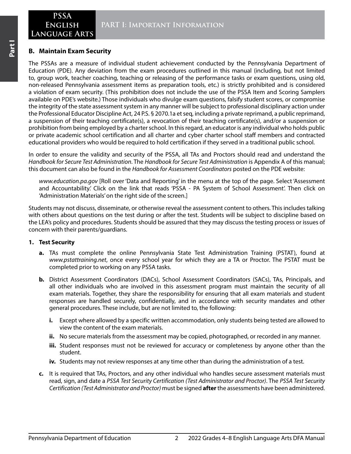<span id="page-5-0"></span>**PSSA**

## **B. Maintain Exam Security**

The PSSAs are a measure of individual student achievement conducted by the Pennsylvania Department of Education (PDE). Any deviation from the exam procedures outlined in this manual (including, but not limited to, group work, teacher coaching, teaching or releasing of the performance tasks or exam questions, using old, non-released Pennsylvania assessment items as preparation tools, etc.) is strictly prohibited and is considered a violation of exam security. (This prohibition does not include the use of the PSSA Item and Scoring Samplers available on PDE's website.) Those individuals who divulge exam questions, falsify student scores, or compromise the integrity of the state assessment system in any manner will be subject to professional disciplinary action under the Professional Educator Discipline Act, 24 P.S. § 2070.1a et seq, including a private reprimand, a public reprimand, a suspension of their teaching certificate(s), a revocation of their teaching certificate(s), and/or a suspension or prohibition from being employed by a charter school. In this regard, an educator is any individual who holds public or private academic school certification and all charter and cyber charter school staff members and contracted educational providers who would be required to hold certification if they served in a traditional public school.

In order to ensure the validity and security of the PSSA, all TAs and Proctors should read and understand the *Handbook for Secure Test Administration*. The *Handbook for Secure Test Administration* is [Appendix A](#page-36-0) of this manual; this document can also be found in the *Handbook for Assessment Coordinators* posted on the PDE website:

*[www.education.pa.gov](http://www.education.pa.gov)* [Roll over 'Data and Reporting' in the menu at the top of the page. Select 'Assessment and Accountability.' Click on the link that reads 'PSSA - PA System of School Assessment'. Then click on 'Administration Materials' on the right side of the screen.]

Students may not discuss, disseminate, or otherwise reveal the assessment content to others. This includes talking with others about questions on the test during or after the test. Students will be subject to discipline based on the LEA's policy and procedures. Students should be assured that they may discuss the testing process or issues of concern with their parents/guardians.

#### **1. Test Security**

- **a.** TAs must complete the online Pennsylvania State Test Administration Training (PSTAT), found at *[www.pstattraining.net](http://www.pstattraining.net)*, once every school year for which they are a TA or Proctor. The PSTAT must be completed prior to working on any PSSA tasks.
- **b.** District Assessment Coordinators (DACs), School Assessment Coordinators (SACs), TAs, Principals, and all other individuals who are involved in this assessment program must maintain the security of all exam materials. Together, they share the responsibility for ensuring that all exam materials and student responses are handled securely, confidentially, and in accordance with security mandates and other general procedures. These include, but are not limited to, the following:
	- **i.** Except where allowed by a specific written accommodation, only students being tested are allowed to view the content of the exam materials.
	- **ii.** No secure materials from the assessment may be copied, photographed, or recorded in any manner.
	- **iii.** Student responses must not be reviewed for accuracy or completeness by anyone other than the student.
	- iv. Students may not review responses at any time other than during the administration of a test.
- **c .** It is required that TAs, Proctors, and any other individual who handles secure assessment materials must read, sign, and date a *PSSA Test Security Certification (Test Administrator and Proctor)*. The *PSSA Test Security Certification (Test Administrator and Proctor)* must be signed **after** the assessments have been administered.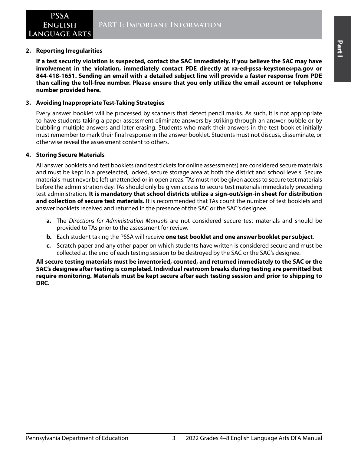## **2 . Reporting Irregularities**

**PSSA English Language Arts**

> **If a test security violation is suspected, contact the SAC immediately . If you believe the SAC may have involvement in the violation, immediately contact PDE directly at [ra-ed-pssa-keystone@pa .gov](mailto:ra-ed-pssa-keystone%40pa.gov?subject=) or 844-418-1651 . Sending an email with a detailed subject line will provide a faster response from PDE than calling the toll-free number . Please ensure that you only utilize the email account or telephone number provided here .**

## **3 . Avoiding Inappropriate Test-Taking Strategies**

Every answer booklet will be processed by scanners that detect pencil marks. As such, it is not appropriate to have students taking a paper assessment eliminate answers by striking through an answer bubble or by bubbling multiple answers and later erasing. Students who mark their answers in the test booklet initially must remember to mark their final response in the answer booklet. Students must not discuss, disseminate, or otherwise reveal the assessment content to others.

## **4 . Storing Secure Materials**

All answer booklets and test booklets (and test tickets for online assessments) are considered secure materials and must be kept in a preselected, locked, secure storage area at both the district and school levels. Secure materials must never be left unattended or in open areas. TAs must not be given access to secure test materials before the administration day. TAs should only be given access to secure test materials immediately preceding test administration. **It is mandatory that school districts utilize a sign-out/sign-in sheet for distribution and collection of secure test materials .** It is recommended that TAs count the number of test booklets and answer booklets received and returned in the presence of the SAC or the SAC's designee.

- **a.** The *Directions for Administration Manuals* are not considered secure test materials and should be provided to TAs prior to the assessment for review.
- **b .** Each student taking the PSSA will receive **one test booklet and one answer booklet per subject**.
- **c .** Scratch paper and any other paper on which students have written is considered secure and must be collected at the end of each testing session to be destroyed by the SAC or the SAC's designee.

**All secure testing materials must be inventoried, counted, and returned immediately to the SAC or the SAC's designee after testing is completed . Individual restroom breaks during testing are permitted but require monitoring . Materials must be kept secure after each testing session and prior to shipping to**  DRC.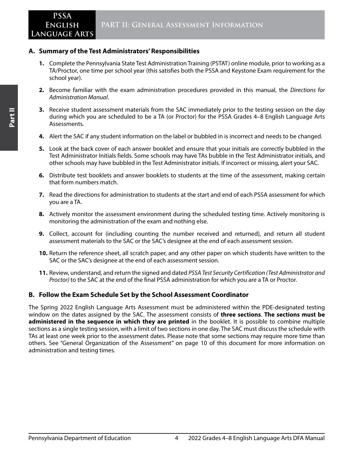#### **A . Summary of the Test Administrators' Responsibilities**

<span id="page-7-0"></span>**PSSA English Language Arts**

- **1 .** Complete the Pennsylvania State Test Administration Training (PSTAT) online module, prior to working as a TA/Proctor, one time per school year (this satisfies both the PSSA and Keystone Exam requirement for the school year).
- **2 .** Become familiar with the exam administration procedures provided in this manual, the *Directions for Administration Manual*.
- **3.** Receive student assessment materials from the SAC immediately prior to the testing session on the day during which you are scheduled to be a TA (or Proctor) for the PSSA Grades 4–8 English Language Arts Assessments.
- **4 .** Alert the SAC if any student information on the label or bubbled in is incorrect and needs to be changed.
- **5 .** Look at the back cover of each answer booklet and ensure that your initials are correctly bubbled in the Test Administrator Initials fields. Some schools may have TAs bubble in the Test Administrator initials, and other schools may have bubbled in the Test Administrator initials. If incorrect or missing, alert your SAC.
- **6.** Distribute test booklets and answer booklets to students at the time of the assessment, making certain that form numbers match.
- **7 .** Read the directions for administration to students at the start and end of each PSSA assessment for which you are a TA.
- **8.** Actively monitor the assessment environment during the scheduled testing time. Actively monitoring is monitoring the administration of the exam and nothing else.
- **9.** Collect, account for (including counting the number received and returned), and return all student assessment materials to the SAC or the SAC's designee at the end of each assessment session.
- **10.** Return the reference sheet, all scratch paper, and any other paper on which students have written to the SAC or the SAC's designee at the end of each assessment session.
- **11 .** Review, understand, and return the signed and dated *PSSA Test Security Certification (Test Administrator and Proctor)* to the SAC at the end of the final PSSA administration for which you are a TA or Proctor.

## **B . Follow the Exam Schedule Set by the School Assessment Coordinator**

The Spring 2022 English Language Arts Assessment must be administered within the PDE-designated testing window on the dates assigned by the SAC. The assessment consists of **three sections**. **The sections must be administered in the sequence in which they are printed** in the booklet. It is possible to combine multiple sections as a single testing session, with a limit of two sections in one day. The SAC must discuss the schedule with TAs at least one week prior to the assessment dates. Please note that some sections may require more time than others. See "General Organization of the Assessment" on [page 10](#page-13-1) of this document for more information on administration and testing times.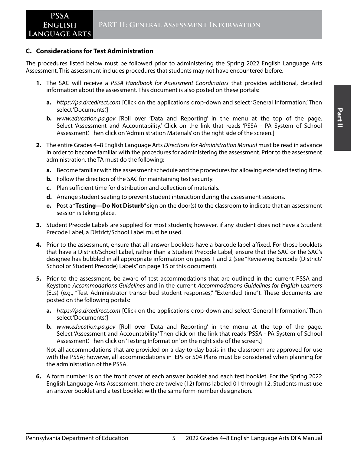#### **C . Considerations for Test Administration**

<span id="page-8-0"></span>**PSSA English Language Arts**

The procedures listed below must be followed prior to administering the Spring 2022 English Language Arts Assessment. This assessment includes procedures that students may not have encountered before.

- **1 .** The SAC will receive a *PSSA Handbook for Assessment Coordinators* that provides additional, detailed information about the assessment. This document is also posted on these portals:
	- **a .** *<https://pa.drcedirect.com>* [Click on the applications drop-down and select 'General Information.' Then select 'Documents.']
	- **b.** *[www.education.pa.gov](http://www.education.pa.gov)* [Roll over 'Data and Reporting' in the menu at the top of the page. Select 'Assessment and Accountability.' Click on the link that reads 'PSSA - PA System of School Assessment'. Then click on 'Administration Materials' on the right side of the screen.]
- **2 .** The entire Grades 4–8 English Language Arts *Directions for Administration Manual* must be read in advance in order to become familiar with the procedures for administering the assessment. Prior to the assessment administration, the TA must do the following:
	- **a.** Become familiar with the assessment schedule and the procedures for allowing extended testing time.
	- **b.** Follow the direction of the SAC for maintaining test security.
	- **c .** Plan sufficient time for distribution and collection of materials.
	- **d.** Arrange student seating to prevent student interaction during the assessment sessions.
	- **e .** Post a "**Testing—Do Not Disturb**" sign on the door(s) to the classroom to indicate that an assessment session is taking place.
- **3 .** Student Precode Labels are supplied for most students; however, if any student does not have a Student Precode Label, a District/School Label must be used.
- **4 .** Prior to the assessment, ensure that all answer booklets have a barcode label affixed. For those booklets that have a District/School Label, rather than a Student Precode Label, ensure that the SAC or the SAC's designee has bubbled in all appropriate information on pages 1 and 2 (see "Reviewing Barcode (District/ School or Student Precode) Labels" on [page 15](#page-18-1) of this document).
- **5.** Prior to the assessment, be aware of test accommodations that are outlined in the current PSSA and Keystone *Accommodations Guidelines* and in the current *Accommodations Guidelines for English Learners* (ELs) (e.g., "Test Administrator transcribed student responses," "Extended time"). These documents are posted on the following portals:
	- **a .** *<https://pa.drcedirect.com>* [Click on the applications drop-down and select 'General Information.' Then select 'Documents.']
	- **b.** *[www.education.pa.gov](http://www.education.pa.gov)* [Roll over 'Data and Reporting' in the menu at the top of the page. Select 'Assessment and Accountability.' Then click on the link that reads 'PSSA - PA System of School Assessment'. Then click on 'Testing Information' on the right side of the screen.]

Not all accommodations that are provided on a day-to-day basis in the classroom are approved for use with the PSSA; however, all accommodations in IEPs or 504 Plans must be considered when planning for the administration of the PSSA.

**6 .** A form number is on the front cover of each answer booklet and each test booklet. For the Spring 2022 English Language Arts Assessment, there are twelve (12) forms labeled 01 through 12. Students must use an answer booklet and a test booklet with the same form-number designation.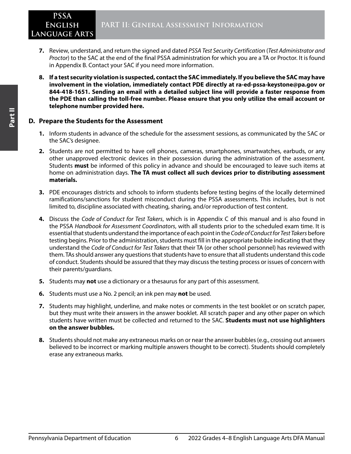**PART II: General Assessment Information**

- **7 .** Review, understand, and return the signed and dated *PSSA Test Security Certification* (*Test Administrator and Proctor*) to the SAC at the end of the final PSSA administration for which you are a TA or Proctor. It is found in [Appendix B.](#page-48-0) Contact your SAC if you need more information.
- **8 . If a test security violation is suspected, contact the SAC immediately . If you believe the SAC may have involvement in the violation, immediately contact PDE directly at [ra-ed-pssa-keystone@pa .gov](mailto:ra-ed-pssa-keystone%40pa.gov?subject=) or 844-418-1651 . Sending an email with a detailed subject line will provide a faster response from the PDE than calling the toll-free number . Please ensure that you only utilize the email account or telephone number provided here .**

### **D. Prepare the Students for the Assessment**

<span id="page-9-0"></span>**PSSA English Language Arts**

- **1 .** Inform students in advance of the schedule for the assessment sessions, as communicated by the SAC or the SAC's designee.
- **2 .** Students are not permitted to have cell phones, cameras, smartphones, smartwatches, earbuds, or any other unapproved electronic devices in their possession during the administration of the assessment. Students **must** be informed of this policy in advance and should be encouraged to leave such items at home on administration days. **The TA must collect all such devices prior to distributing assessment materials .**
- **3 .** PDE encourages districts and schools to inform students before testing begins of the locally determined ramifications/sanctions for student misconduct during the PSSA assessments. This includes, but is not limited to, discipline associated with cheating, sharing, and/or reproduction of test content.
- **4 .** Discuss the *Code of Conduct for Test Takers*, which is in [Appendix C](#page-50-0) of this manual and is also found in the PSSA *Handbook for Assessment Coordinators*, with all students prior to the scheduled exam time. It is essential that students understand the importance of each point in the *Code of Conduct for Test Takers* before testing begins. Prior to the administration, students must fill in the appropriate bubble indicating that they understand the *Code of Conduct for Test Takers* that their TA (or other school personnel) has reviewed with them. TAs should answer any questions that students have to ensure that all students understand this code of conduct. Students should be assured that they may discuss the testing process or issues of concern with their parents/guardians.
- **5 .** Students may **not** use a dictionary or a thesaurus for any part of this assessment.
- **6 .** Students must use a No. 2 pencil; an ink pen may **not** be used.
- **7 .** Students may highlight, underline, and make notes or comments in the test booklet or on scratch paper, but they must write their answers in the answer booklet. All scratch paper and any other paper on which students have written must be collected and returned to the SAC. **Students must not use highlighters on the answer bubbles .**
- **8 .** Students should not make any extraneous marks on or near the answer bubbles (e.g., crossing out answers believed to be incorrect or marking multiple answers thought to be correct). Students should completely erase any extraneous marks.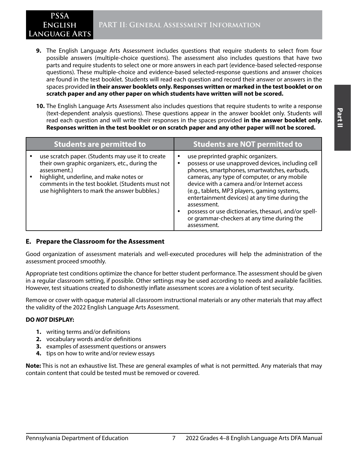**PART II: General Assessment Information**

## <span id="page-10-0"></span>**PSSA English Language Arts**

- **9.** The English Language Arts Assessment includes questions that require students to select from four possible answers (multiple-choice questions). The assessment also includes questions that have two parts and require students to select one or more answers in each part (evidence-based selected-response questions). These multiple-choice and evidence-based selected-response questions and answer choices are found in the test booklet. Students will read each question and record their answer or answers in the spaces provided **in their answer booklets only . Responses written or marked in the test booklet or on scratch paper and any other paper on which students have written will not be scored .**
- **10 .** The English Language Arts Assessment also includes questions that require students to write a response (text-dependent analysis questions). These questions appear in the answer booklet only. Students will read each question and will write their responses in the spaces provided **in the answer booklet only . Responses written in the test booklet or on scratch paper and any other paper will not be scored .**

| <b>Students are permitted to</b>                                                                                                                                                                                                                                    | <b>Students are NOT permitted to</b>                                                                                                                                                                                                                                                                                                                                                                                                                                       |
|---------------------------------------------------------------------------------------------------------------------------------------------------------------------------------------------------------------------------------------------------------------------|----------------------------------------------------------------------------------------------------------------------------------------------------------------------------------------------------------------------------------------------------------------------------------------------------------------------------------------------------------------------------------------------------------------------------------------------------------------------------|
| use scratch paper. (Students may use it to create<br>their own graphic organizers, etc., during the<br>assessment.)<br>highlight, underline, and make notes or<br>comments in the test booklet. (Students must not<br>use highlighters to mark the answer bubbles.) | use preprinted graphic organizers.<br>possess or use unapproved devices, including cell<br>phones, smartphones, smartwatches, earbuds,<br>cameras, any type of computer, or any mobile<br>device with a camera and/or Internet access<br>(e.g., tablets, MP3 players, gaming systems,<br>entertainment devices) at any time during the<br>assessment.<br>possess or use dictionaries, thesauri, and/or spell-<br>or grammar-checkers at any time during the<br>assessment. |

## **E. Prepare the Classroom for the Assessment**

Good organization of assessment materials and well-executed procedures will help the administration of the assessment proceed smoothly.

Appropriate test conditions optimize the chance for better student performance. The assessment should be given in a regular classroom setting, if possible. Other settings may be used according to needs and available facilities. However, test situations created to dishonestly inflate assessment scores are a violation of test security.

Remove or cover with opaque material all classroom instructional materials or any other materials that may affect the validity of the 2022 English Language Arts Assessment.

## **DO** *NOT* **DISPLAY:**

- **1.** writing terms and/or definitions
- **2.** vocabulary words and/or definitions
- **3.** examples of assessment questions or answers
- **4.** tips on how to write and/or review essays

**Note:** This is not an exhaustive list. These are general examples of what is not permitted. Any materials that may contain content that could be tested must be removed or covered.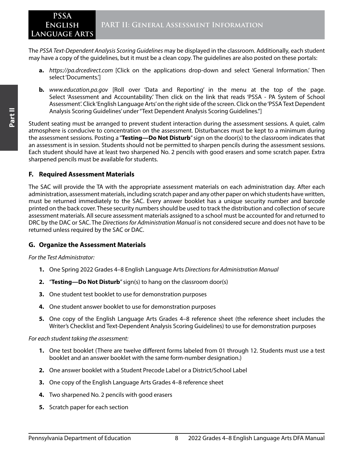#### <span id="page-11-0"></span>**PSSA English Language Arts PART II: General Assessment Information**

The *PSSA Text-Dependent Analysis Scoring Guidelines* may be displayed in the classroom. Additionally, each student may have a copy of the guidelines, but it must be a clean copy. The guidelines are also posted on these portals:

- **a.** *<https://pa.drcedirect.com>* [Click on the applications drop-down and select 'General Information.' Then select 'Documents.']
- **b.** *[www.education.pa.gov](http://www.education.pa.gov)* [Roll over 'Data and Reporting' in the menu at the top of the page. Select 'Assessment and Accountability.' Then click on the link that reads 'PSSA - PA System of School Assessment'. Click 'English Language Arts' on the right side of the screen. Click on the 'PSSA Text Dependent Analysis Scoring Guidelines' under "Text Dependent Analysis Scoring Guidelines."]

Student seating must be arranged to prevent student interaction during the assessment sessions. A quiet, calm atmosphere is conducive to concentration on the assessment. Disturbances must be kept to a minimum during the assessment sessions. Posting a "**Testing—Do Not Disturb**" sign on the door(s) to the classroom indicates that an assessment is in session. Students should not be permitted to sharpen pencils during the assessment sessions. Each student should have at least two sharpened No. 2 pencils with good erasers and some scratch paper. Extra sharpened pencils must be available for students.

## **F.** Required Assessment Materials

The SAC will provide the TA with the appropriate assessment materials on each administration day. After each administration, assessment materials, including scratch paper and any other paper on which students have written, must be returned immediately to the SAC. Every answer booklet has a unique security number and barcode printed on the back cover. These security numbers should be used to track the distribution and collection of secure assessment materials. All secure assessment materials assigned to a school must be accounted for and returned to DRC by the DAC or SAC. The *Directions for Administration Manual* is not considered secure and does not have to be returned unless required by the SAC or DAC.

## **G . Organize the Assessment Materials**

*For the Test Administrator:*

- **1 .** One Spring 2022 Grades 4–8 English Language Arts *Directions for Administration Manual*
- **2. "Testing—Do Not Disturb**" sign(s) to hang on the classroom door(s)
- **3.** One student test booklet to use for demonstration purposes
- **4 .** One student answer booklet to use for demonstration purposes
- **5 .** One copy of the English Language Arts Grades 4–8 reference sheet (the reference sheet includes the Writer's Checklist and Text-Dependent Analysis Scoring Guidelines) to use for demonstration purposes

## *For each student taking the assessment:*

- **1 .** One test booklet (There are twelve different forms labeled from 01 through 12. Students must use a test booklet and an answer booklet with the same form-number designation.)
- **2 .** One answer booklet with a Student Precode Label or a District/School Label
- **3.** One copy of the English Language Arts Grades 4–8 reference sheet
- **4.** Two sharpened No. 2 pencils with good erasers
- **5.** Scratch paper for each section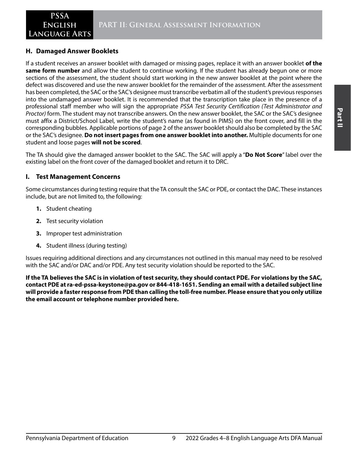## **H. Damaged Answer Booklets**

<span id="page-12-0"></span>**PSSA English Language Arts**

If a student receives an answer booklet with damaged or missing pages, replace it with an answer booklet **of the same form number** and allow the student to continue working. If the student has already begun one or more sections of the assessment, the student should start working in the new answer booklet at the point where the defect was discovered and use the new answer booklet for the remainder of the assessment. After the assessment has been completed, the SAC or the SAC's designee must transcribe verbatim all of the student's previous responses into the undamaged answer booklet. It is recommended that the transcription take place in the presence of a professional staff member who will sign the appropriate *PSSA Test Security Certification (Test Administrator and Proctor)* form. The student may not transcribe answers. On the new answer booklet, the SAC or the SAC's designee must affix a District/School Label, write the student's name (as found in PIMS) on the front cover, and fill in the corresponding bubbles. Applicable portions of page 2 of the answer booklet should also be completed by the SAC or the SAC's designee. **Do not insert pages from one answer booklet into another .** Multiple documents for one student and loose pages **will not be scored**.

The TA should give the damaged answer booklet to the SAC. The SAC will apply a "**Do Not Score**" label over the existing label on the front cover of the damaged booklet and return it to DRC.

#### **I.** Test Management Concerns

Some circumstances during testing require that the TA consult the SAC or PDE, or contact the DAC. These instances include, but are not limited to, the following:

- **1.** Student cheating
- **2.** Test security violation
- **3.** Improper test administration
- **4.** Student illness (during testing)

Issues requiring additional directions and any circumstances not outlined in this manual may need to be resolved with the SAC and/or DAC and/or PDE. Any test security violation should be reported to the SAC.

**If the TA believes the SAC is in violation of test security, they should contact PDE . For violations by the SAC, contact PDE at [ra-ed-pssa-keystone@pa .gov](mailto:ra-ed-pssa-keystone%40pa.gov?subject=) or 844-418-1651 . Sending an email with a detailed subject line will provide a faster response from PDE than calling the toll-free number . Please ensure that you only utilize the email account or telephone number provided here .**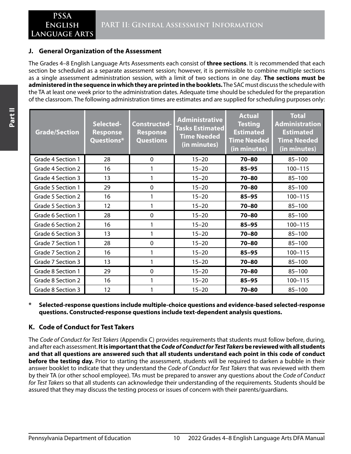#### <span id="page-13-1"></span>**J.** General Organization of the Assessment

<span id="page-13-0"></span>**PSSA English Language Arts**

The Grades 4–8 English Language Arts Assessments each consist of **three sections**. It is recommended that each section be scheduled as a separate assessment session; however, it is permissible to combine multiple sections as a single assessment administration session, with a limit of two sections in one day. **The sections must be administered in the sequence in which they are printed in the booklets .** The SAC must discuss the schedule with the TA at least one week prior to the administration dates. Adequate time should be scheduled for the preparation of the classroom. The following administration times are estimates and are supplied for scheduling purposes only:

| <b>Grade/Section</b>     | Selected-<br><b>Response</b><br>Questions* | Constructed-<br><b>Response</b><br><b>Questions</b> | <b>Administrative</b><br><b>Tasks Estimated</b><br><b>Time Needed</b><br>(in minutes) | <b>Actual</b><br><b>Testing</b><br><b>Estimated</b><br><b>Time Needed</b><br>(in minutes) | <b>Total</b><br><b>Administration</b><br><b>Estimated</b><br><b>Time Needed</b><br>(in minutes) |
|--------------------------|--------------------------------------------|-----------------------------------------------------|---------------------------------------------------------------------------------------|-------------------------------------------------------------------------------------------|-------------------------------------------------------------------------------------------------|
| Grade 4 Section 1        | 28                                         | $\Omega$                                            | $15 - 20$                                                                             | $70 - 80$                                                                                 | $85 - 100$                                                                                      |
| <b>Grade 4 Section 2</b> | 16                                         | 1                                                   | $15 - 20$                                                                             | $85 - 95$                                                                                 | $100 - 115$                                                                                     |
| Grade 4 Section 3        | 13                                         | 1                                                   | $15 - 20$                                                                             | $70 - 80$                                                                                 | $85 - 100$                                                                                      |
| Grade 5 Section 1        | 29                                         | $\mathbf 0$                                         | $15 - 20$                                                                             | $70 - 80$                                                                                 | $85 - 100$                                                                                      |
| Grade 5 Section 2        | 16                                         |                                                     | $15 - 20$                                                                             | $85 - 95$                                                                                 | $100 - 115$                                                                                     |
| Grade 5 Section 3        | 12                                         | 1                                                   | $15 - 20$                                                                             | $70 - 80$                                                                                 | $85 - 100$                                                                                      |
| Grade 6 Section 1        | 28                                         | $\mathbf 0$                                         | $15 - 20$                                                                             | $70 - 80$                                                                                 | $85 - 100$                                                                                      |
| Grade 6 Section 2        | 16                                         |                                                     | $15 - 20$                                                                             | $85 - 95$                                                                                 | $100 - 115$                                                                                     |
| Grade 6 Section 3        | 13                                         | 1                                                   | $15 - 20$                                                                             | $70 - 80$                                                                                 | $85 - 100$                                                                                      |
| Grade 7 Section 1        | 28                                         | $\mathbf{0}$                                        | $15 - 20$                                                                             | $70 - 80$                                                                                 | $85 - 100$                                                                                      |
| Grade 7 Section 2        | 16                                         | 1                                                   | $15 - 20$                                                                             | $85 - 95$                                                                                 | $100 - 115$                                                                                     |
| Grade 7 Section 3        | 13                                         |                                                     | $15 - 20$                                                                             | $70 - 80$                                                                                 | $85 - 100$                                                                                      |
| Grade 8 Section 1        | 29                                         | $\mathbf 0$                                         | $15 - 20$                                                                             | $70 - 80$                                                                                 | $85 - 100$                                                                                      |
| Grade 8 Section 2        | 16                                         |                                                     | $15 - 20$                                                                             | $85 - 95$                                                                                 | $100 - 115$                                                                                     |
| Grade 8 Section 3        | 12                                         |                                                     | $15 - 20$                                                                             | $70 - 80$                                                                                 | $85 - 100$                                                                                      |

**\* Selected-response questions include multiple-choice questions and evidence-based selected-response questions . Constructed-response questions include text-dependent analysis questions .**

## **K . Code of Conduct for Test Takers**

The *Code of Conduct for Test Takers* ([Appendix C](#page-50-0)) provides requirements that students must follow before, during, and after each assessment. **It is important that the** *Code of Conduct for Test Takers* **be reviewed with all students and that all questions are answered such that all students understand each point in this code of conduct before the testing day.** Prior to starting the assessment, students will be required to darken a bubble in their answer booklet to indicate that they understand the *Code of Conduct for Test Takers* that was reviewed with them by their TA (or other school employee). TAs must be prepared to answer any questions about the *Code of Conduct for Test Takers* so that all students can acknowledge their understanding of the requirements. Students should be assured that they may discuss the testing process or issues of concern with their parents/guardians.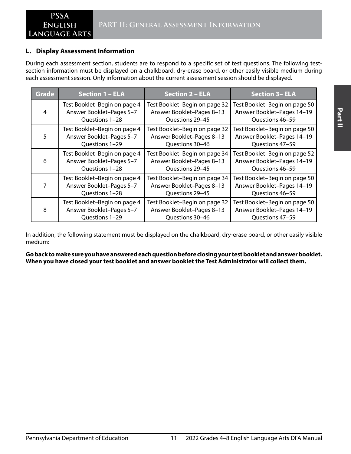## **L.** Display Assessment Information

<span id="page-14-0"></span>**PSSA English Language Arts**

During each assessment section, students are to respond to a specific set of test questions. The following testsection information must be displayed on a chalkboard, dry-erase board, or other easily visible medium during each assessment session. Only information about the current assessment session should be displayed.

| <b>Grade</b> | <b>Section 1 - ELA</b>       | <b>Section 2 - ELA</b>        | <b>Section 3- ELA</b>         |
|--------------|------------------------------|-------------------------------|-------------------------------|
| 4            | Test Booklet-Begin on page 4 | Test Booklet-Begin on page 32 | Test Booklet-Begin on page 50 |
|              | Answer Booklet-Pages 5-7     | Answer Booklet-Pages 8-13     | Answer Booklet-Pages 14-19    |
|              | Questions 1-28               | Questions 29-45               | Questions 46-59               |
| 5            | Test Booklet-Begin on page 4 | Test Booklet-Begin on page 32 | Test Booklet-Begin on page 50 |
|              | Answer Booklet-Pages 5-7     | Answer Booklet-Pages 8-13     | Answer Booklet-Pages 14-19    |
|              | Questions 1-29               | Questions 30-46               | Questions 47-59               |
| 6            | Test Booklet-Begin on page 4 | Test Booklet-Begin on page 34 | Test Booklet-Begin on page 52 |
|              | Answer Booklet-Pages 5-7     | Answer Booklet-Pages 8-13     | Answer Booklet-Pages 14-19    |
|              | Questions 1-28               | Questions 29-45               | Questions 46-59               |
| 7            | Test Booklet-Begin on page 4 | Test Booklet-Begin on page 34 | Test Booklet-Begin on page 50 |
|              | Answer Booklet-Pages 5-7     | Answer Booklet-Pages 8-13     | Answer Booklet-Pages 14-19    |
|              | Questions 1-28               | Questions 29-45               | Questions 46-59               |
| 8            | Test Booklet-Begin on page 4 | Test Booklet-Begin on page 32 | Test Booklet-Begin on page 50 |
|              | Answer Booklet-Pages 5-7     | Answer Booklet-Pages 8-13     | Answer Booklet-Pages 14-19    |
|              | Questions 1-29               | Questions 30-46               | Questions 47-59               |

In addition, the following statement must be displayed on the chalkboard, dry-erase board, or other easily visible medium:

**Go back to make sure you have answered each question before closing your test booklet and answer booklet .**  When you have closed your test booklet and answer booklet the Test Administrator will collect them.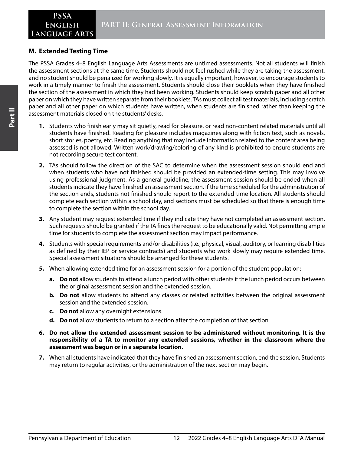## **M. Extended Testing Time**

<span id="page-15-0"></span>**PSSA English Language Arts**

The PSSA Grades 4–8 English Language Arts Assessments are untimed assessments. Not all students will finish the assessment sections at the same time. Students should not feel rushed while they are taking the assessment, and no student should be penalized for working slowly. It is equally important, however, to encourage students to work in a timely manner to finish the assessment. Students should close their booklets when they have finished the section of the assessment in which they had been working. Students should keep scratch paper and all other paper on which they have written separate from their booklets. TAs must collect all test materials, including scratch paper and all other paper on which students have written, when students are finished rather than keeping the assessment materials closed on the students' desks.

- **1 .** Students who finish early may sit quietly, read for pleasure, or read non-content related materials until all students have finished. Reading for pleasure includes magazines along with fiction text, such as novels, short stories, poetry, etc. Reading anything that may include information related to the content area being assessed is not allowed. Written work/drawing/coloring of any kind is prohibited to ensure students are not recording secure test content.
- **2.** TAs should follow the direction of the SAC to determine when the assessment session should end and when students who have not finished should be provided an extended-time setting. This may involve using professional judgment. As a general guideline, the assessment session should be ended when all students indicate they have finished an assessment section. If the time scheduled for the administration of the section ends, students not finished should report to the extended-time location. All students should complete each section within a school day, and sections must be scheduled so that there is enough time to complete the section within the school day.
- **3 .** Any student may request extended time if they indicate they have not completed an assessment section. Such requests should be granted if the TA finds the request to be educationally valid. Not permitting ample time for students to complete the assessment section may impact performance.
- **4 .** Students with special requirements and/or disabilities (i.e., physical, visual, auditory, or learning disabilities as defined by their IEP or service contracts) and students who work slowly may require extended time. Special assessment situations should be arranged for these students.
- **5 .** When allowing extended time for an assessment session for a portion of the student population:
	- **a.** Do not allow students to attend a lunch period with other students if the lunch period occurs between the original assessment session and the extended session.
	- **b.** Do not allow students to attend any classes or related activities between the original assessment session and the extended session.
	- **c.** Do not allow any overnight extensions.
	- **d.** Do not allow students to return to a section after the completion of that section.
- **6 . Do not allow the extended assessment session to be administered without monitoring . It is the responsibility of a TA to monitor any extended sessions, whether in the classroom where the assessment was begun or in a separate location .**
- **7 .** When all students have indicated that they have finished an assessment section, end the session. Students may return to regular activities, or the administration of the next section may begin.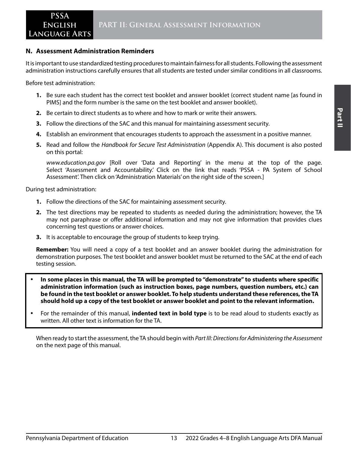#### **N. Assessment Administration Reminders**

It is important to use standardized testing procedures to maintain fairness for all students. Following the assessment administration instructions carefully ensures that all students are tested under similar conditions in all classrooms.

Before test administration:

<span id="page-16-0"></span>**PSSA English Language Arts**

- **1 .** Be sure each student has the correct test booklet and answer booklet (correct student name [as found in PIMS] and the form number is the same on the test booklet and answer booklet).
- **2 .** Be certain to direct students as to where and how to mark or write their answers.
- **3 .** Follow the directions of the SAC and this manual for maintaining assessment security.
- **4 .** Establish an environment that encourages students to approach the assessment in a positive manner.
- **5 .** Read and follow the *Handbook for Secure Test Administration* ([Appendix A\)](#page-36-0). This document is also posted on this portal:

*[www.education.pa.gov](http://www.education.pa.gov)* [Roll over 'Data and Reporting' in the menu at the top of the page. Select 'Assessment and Accountability.' Click on the link that reads 'PSSA - PA System of School Assessment'. Then click on 'Administration Materials' on the right side of the screen.]

During test administration:

- **1 .** Follow the directions of the SAC for maintaining assessment security.
- **2.** The test directions may be repeated to students as needed during the administration; however, the TA may not paraphrase or offer additional information and may not give information that provides clues concerning test questions or answer choices.
- **3.** It is acceptable to encourage the group of students to keep trying.

**Remember:** You will need a copy of a test booklet and an answer booklet during the administration for demonstration purposes. The test booklet and answer booklet must be returned to the SAC at the end of each testing session.

- y **In some places in this manual, the TA will be prompted to "demonstrate" to students where specific**  administration information (such as instruction boxes, page numbers, question numbers, etc.) can **be found in the test booklet or answer booklet . To help students understand these references, the TA should hold up a copy of the test booklet or answer booklet and point to the relevant information .**
- For the remainder of this manual, **indented text in bold type** is to be read aloud to students exactly as written. All other text is information for the TA.

When ready to start the assessment, the TA should begin with *Part III: Directions for Administering the Assessment*  on the next page of this manual.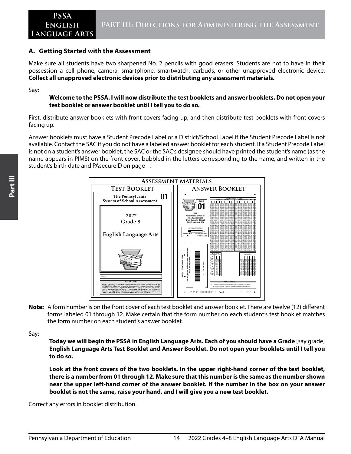#### **A . Getting Started with the Assessment**

<span id="page-17-0"></span>**PSSA English Language Arts**

Make sure all students have two sharpened No. 2 pencils with good erasers. Students are not to have in their possession a cell phone, camera, smartphone, smartwatch, earbuds, or other unapproved electronic device. **Collect all unapproved electronic devices prior to distributing any assessment materials .**

Say:

**Welcome to the PSSA . I will now distribute the test booklets and answer booklets . Do not open your test booklet or answer booklet until I tell you to do so .**

First, distribute answer booklets with front covers facing up, and then distribute test booklets with front covers facing up.

Answer booklets must have a Student Precode Label or a District/School Label if the Student Precode Label is not available. Contact the SAC if you do not have a labeled answer booklet for each student. If a Student Precode Label is not on a student's answer booklet, the SAC or the SAC's designee should have printed the student's name (as the name appears in PIMS) on the front cover, bubbled in the letters corresponding to the name, and written in the student's birth date and PAsecureID on page 1.



**Note:** A form number is on the front cover of each test booklet and answer booklet. There are twelve (12) different forms labeled 01 through 12. Make certain that the form number on each student's test booklet matches the form number on each student's answer booklet.

Say:

**Today we will begin the PSSA in English Language Arts . Each of you should have a Grade** [say grade] **English Language Arts Test Booklet and Answer Booklet . Do not open your booklets until I tell you to do so .**

Look at the front covers of the two booklets. In the upper right-hand corner of the test booklet, **there is a number from 01 through 12 . Make sure that this number is the same as the number shown near the upper left-hand corner of the answer booklet . If the number in the box on your answer booklet is not the same, raise your hand, and I will give you a new test booklet .**

Correct any errors in booklet distribution.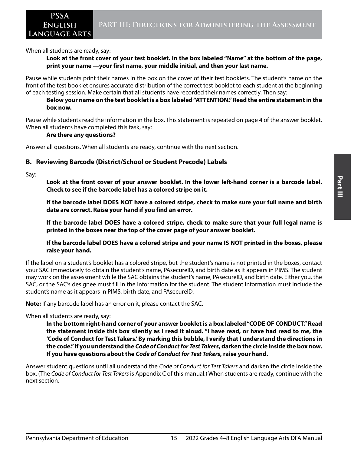When all students are ready, say:

<span id="page-18-0"></span>**PSSA English Language Arts**

#### **Look at the front cover of your test booklet . In the box labeled "Name" at the bottom of the page, print your name —your first name, your middle initial, and then your last name .**

Pause while students print their names in the box on the cover of their test booklets. The student's name on the front of the test booklet ensures accurate distribution of the correct test booklet to each student at the beginning of each testing session. Make certain that all students have recorded their names correctly. Then say:

#### **Below your name on the test booklet is a box labeled "ATTENTION ." Read the entire statement in the**  box now.

Pause while students read the information in the box. This statement is repeated on page 4 of the answer booklet. When all students have completed this task, say:

#### **Are there any questions?**

Answer all questions. When all students are ready, continue with the next section.

### <span id="page-18-1"></span>**B. Reviewing Barcode (District/School or Student Precode) Labels**

Say:

Look at the front cover of your answer booklet. In the lower left-hand corner is a barcode label. **Check to see if the barcode label has a colored stripe on it .**

**If the barcode label DOES NOT have a colored stripe, check to make sure your full name and birth**  date are correct. Raise your hand if you find an error.

**If the barcode label DOES have a colored stripe, check to make sure that your full legal name is printed in the boxes near the top of the cover page of your answer booklet .**

#### **If the barcode label DOES have a colored stripe and your name IS NOT printed in the boxes, please**  raise your hand.

If the label on a student's booklet has a colored stripe, but the student's name is not printed in the boxes, contact your SAC immediately to obtain the student's name, PAsecureID, and birth date as it appears in PIMS. The student may work on the assessment while the SAC obtains the student's name, PAsecureID, and birth date. Either you, the SAC, or the SAC's designee must fill in the information for the student. The student information must include the student's name as it appears in PIMS, birth date, and PAsecureID.

**Note:** If any barcode label has an error on it, please contact the SAC.

When all students are ready, say:

**In the bottom right-hand corner of your answer booklet is a box labeled "CODE OF CONDUCT ." Read the statement inside this box silently as I read it aloud . "I have read, or have had read to me, the 'Code of Conduct for Test Takers .' By marking this bubble, I verify that I understand the directions in the code ." If you understand the** *Code of Conduct for Test Takers***, darken the circle inside the box now . If you have questions about the** *Code of Conduct for Test Takers***, raise your hand .**

Answer student questions until all understand the *Code of Conduct for Test Takers* and darken the circle inside the box. (The *Code of Conduct for Test Takers* is [Appendix C](#page-50-0) of this manual.) When students are ready, continue with the next section.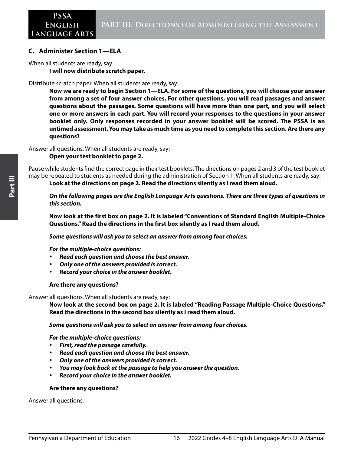<span id="page-19-0"></span>**PSSA**

## **C . Administer Section 1—ELA**

When all students are ready, say:

**I will now distribute scratch paper.** 

Distribute scratch paper. When all students are ready, say:

**Now we are ready to begin Section 1—ELA . For some of the questions, you will choose your answer from among a set of four answer choices . For other questions, you will read passages and answer questions about the passages . Some questions will have more than one part, and you will select**  one or more answers in each part. You will record your responses to the questions in your answer booklet only. Only responses recorded in your answer booklet will be scored. The PSSA is an **untimed assessment . You may take as much time as you need to complete this section . Are there any questions?**

Answer all questions. When all students are ready, say:

**Open your test booklet to page 2.** 

Pause while students find the correct page in their test booklets. The directions on pages 2 and 3 of the test booklet may be repeated to students as needed during the administration of Section 1. When all students are ready, say: **Look at the directions on page 2 . Read the directions silently as I read them aloud .**

*On the following pages are the English Language Arts questions. There are three types of questions in this section.*

**Now look at the first box on page 2 . It is labeled "Conventions of Standard English Multiple-Choice Questions ." Read the directions in the first box silently as I read them aloud .**

*Some questions will ask you to select an answer from among four choices.*

*For the multiple-choice questions:*

- y *Read each question and choose the best answer.*
- **Only one of the answers provided is correct.**
- y *Record your choice in the answer booklet.*

#### **Are there any questions?**

Answer all questions. When all students are ready, say:

**Now look at the second box on page 2 . It is labeled "Reading Passage Multiple-Choice Questions ." Read the directions in the second box silently as I read them aloud .**

*Some questions will ask you to select an answer from among four choices.*

*For the multiple-choice questions:*

- y *First, read the passage carefully.*
- **Read each question and choose the best answer.**
- **Only one of the answers provided is correct.**
- y *You may look back at the passage to help you answer the question.*
- y *Record your choice in the answer booklet.*

#### **Are there any questions?**

Answer all questions.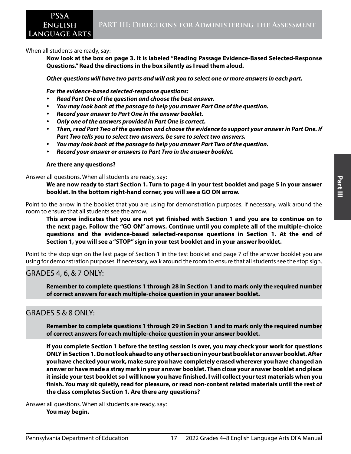#### When all students are ready, say:

**PSSA English Language Arts**

> **Now look at the box on page 3 . It is labeled "Reading Passage Evidence-Based Selected-Response Questions ." Read the directions in the box silently as I read them aloud .**

*Other questions will have two parts and will ask you to select one or more answers in each part.*

*For the evidence-based selected-response questions:*

- y *Read Part One of the question and choose the best answer.*
- y *You may look back at the passage to help you answer Part One of the question.*
- y *Record your answer to Part One in the answer booklet.*
- y *Only one of the answers provided in Part One is correct.*
- Then, read Part Two of the question and choose the evidence to support your answer in Part One. If *Part Two tells you to select two answers, be sure to select two answers.*
- y *You may look back at the passage to help you answer Part Two of the question.*
- y *Record your answer or answers to Part Two in the answer booklet.*

#### **Are there any questions?**

Answer all questions. When all students are ready, say:

**We are now ready to start Section 1 . Turn to page 4 in your test booklet and page 5 in your answer booklet . In the bottom right-hand corner, you will see a GO ON arrow .**

Point to the arrow in the booklet that you are using for demonstration purposes. If necessary, walk around the room to ensure that all students see the arrow.

**This arrow indicates that you are not yet finished with Section 1 and you are to continue on to**  the next page. Follow the "GO ON" arrows. Continue until you complete all of the multiple-choice **questions and the evidence-based selected-response questions in Section 1 . At the end of Section 1, you will see a "STOP" sign in your test booklet and in your answer booklet .**

Point to the stop sign on the last page of Section 1 in the test booklet and page 7 of the answer booklet you are using for demonstration purposes. If necessary, walk around the room to ensure that all students see the stop sign.

#### GRADES 4, 6, & 7 ONLY:

**Remember to complete questions 1 through 28 in Section 1 and to mark only the required number of correct answers for each multiple-choice question in your answer booklet .**

## GRADES 5 & 8 ONLY:

**Remember to complete questions 1 through 29 in Section 1 and to mark only the required number of correct answers for each multiple-choice question in your answer booklet .**

**If you complete Section 1 before the testing session is over, you may check your work for questions ONLY in Section 1 . Do not look ahead to any other section in your test booklet or answer booklet . After you have checked your work, make sure you have completely erased wherever you have changed an answer or have made a stray mark in your answer booklet . Then close your answer booklet and place it inside your test booklet so I will know you have finished . I will collect your test materials when you finish . You may sit quietly, read for pleasure, or read non-content related materials until the rest of the class completes Section 1 . Are there any questions?**

Answer all questions. When all students are ready, say: You may begin.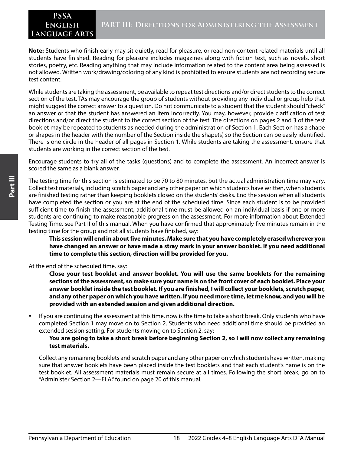**PART III: Directions for Administering the Assessment**

## **PSSA English Language Arts**

**Note:** Students who finish early may sit quietly, read for pleasure, or read non-content related materials until all students have finished. Reading for pleasure includes magazines along with fiction text, such as novels, short stories, poetry, etc. Reading anything that may include information related to the content area being assessed is not allowed. Written work/drawing/coloring of any kind is prohibited to ensure students are not recording secure test content.

While students are taking the assessment, be available to repeat test directions and/or direct students to the correct section of the test. TAs may encourage the group of students without providing any individual or group help that might suggest the correct answer to a question. Do not communicate to a student that the student should "check" an answer or that the student has answered an item incorrectly. You may, however, provide clarification of test directions and/or direct the student to the correct section of the test. The directions on pages 2 and 3 of the test booklet may be repeated to students as needed during the administration of Section 1. Each Section has a shape or shapes in the header with the number of the Section inside the shape(s) so the Section can be easily identified. There is one circle in the header of all pages in Section 1. While students are taking the assessment, ensure that students are working in the correct section of the test.

Encourage students to try all of the tasks (questions) and to complete the assessment. An incorrect answer is scored the same as a blank answer.

The testing time for this section is estimated to be 70 to 80 minutes, but the actual administration time may vary. Collect test materials, including scratch paper and any other paper on which students have written, when students are finished testing rather than keeping booklets closed on the students' desks. End the session when all students have completed the section or you are at the end of the scheduled time. Since each student is to be provided sufficient time to finish the assessment, additional time must be allowed on an individual basis if one or more students are continuing to make reasonable progress on the assessment. For more information about Extended Testing Time, see Part II of this manual. When you have confirmed that approximately five minutes remain in the testing time for the group and not all students have finished, say:

**This session will end in about five minutes . Make sure that you have completely erased wherever you have changed an answer or have made a stray mark in your answer booklet . If you need additional time to complete this section, direction will be provided for you .**

At the end of the scheduled time, say:

**Close your test booklet and answer booklet . You will use the same booklets for the remaining sections of the assessment, so make sure your name is on the front cover of each booklet . Place your answer booklet inside the test booklet . If you are finished, I will collect your booklets, scratch paper, and any other paper on which you have written . If you need more time, let me know, and you will be provided with an extended session and given additional direction .**

If you are continuing the assessment at this time, now is the time to take a short break. Only students who have completed Section 1 may move on to Section 2. Students who need additional time should be provided an extended session setting. For students moving on to Section 2, say:

#### **You are going to take a short break before beginning Section 2, so I will now collect any remaining test materials .**

Collect any remaining booklets and scratch paper and any other paper on which students have written, making sure that answer booklets have been placed inside the test booklets and that each student's name is on the test booklet. All assessment materials must remain secure at all times. Following the short break, go on to "Administer Section 2—ELA," found on [page 20](#page-23-1) of this manual.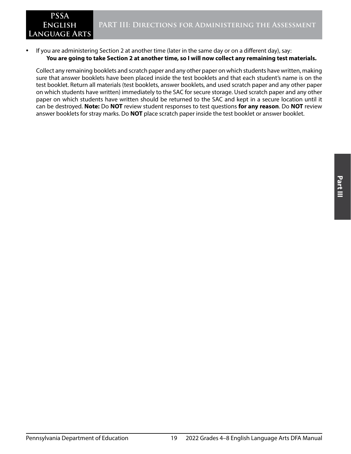If you are administering Section 2 at another time (later in the same day or on a different day), say: **You are going to take Section 2 at another time, so I will now collect any remaining test materials .**

Collect any remaining booklets and scratch paper and any other paper on which students have written, making sure that answer booklets have been placed inside the test booklets and that each student's name is on the test booklet. Return all materials (test booklets, answer booklets, and used scratch paper and any other paper on which students have written) immediately to the SAC for secure storage. Used scratch paper and any other paper on which students have written should be returned to the SAC and kept in a secure location until it can be destroyed. **Note:** Do **NOT** review student responses to test questions **for any reason**. Do **NOT** review answer booklets for stray marks. Do **NOT** place scratch paper inside the test booklet or answer booklet.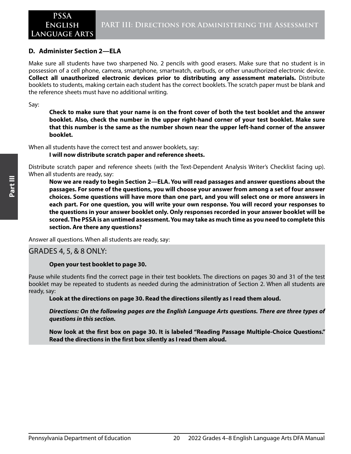**PART III: Directions for Administering the Assessment**

#### <span id="page-23-1"></span>**D. Administer Section 2-ELA**

<span id="page-23-0"></span>**PSSA English Language Arts**

Make sure all students have two sharpened No. 2 pencils with good erasers. Make sure that no student is in possession of a cell phone, camera, smartphone, smartwatch, earbuds, or other unauthorized electronic device. **Collect all unauthorized electronic devices prior to distributing any assessment materials.** Distribute booklets to students, making certain each student has the correct booklets. The scratch paper must be blank and the reference sheets must have no additional writing.

Say:

**Check to make sure that your name is on the front cover of both the test booklet and the answer**  booklet. Also, check the number in the upper right-hand corner of your test booklet. Make sure **that this number is the same as the number shown near the upper left-hand corner of the answer booklet .**

When all students have the correct test and answer booklets, say:

**I will now distribute scratch paper and reference sheets .**

Distribute scratch paper and reference sheets (with the Text-Dependent Analysis Writer's Checklist facing up). When all students are ready, say:

**Now we are ready to begin Section 2—ELA . You will read passages and answer questions about the passages . For some of the questions, you will choose your answer from among a set of four answer choices . Some questions will have more than one part, and you will select one or more answers in each part . For one question, you will write your own response . You will record your responses to the questions in your answer booklet only . Only responses recorded in your answer booklet will be scored . The PSSA is an untimed assessment . You may take as much time as you need to complete this section . Are there any questions?**

Answer all questions. When all students are ready, say:

#### GRADES 4, 5, & 8 ONLY:

#### **Open your test booklet to page 30 .**

Pause while students find the correct page in their test booklets. The directions on pages 30 and 31 of the test booklet may be repeated to students as needed during the administration of Section 2. When all students are ready, say:

**Look at the directions on page 30 . Read the directions silently as I read them aloud .**

*Directions: On the following pages are the English Language Arts questions. There are three types of questions in this section.*

**Now look at the first box on page 30 . It is labeled "Reading Passage Multiple-Choice Questions ." Read the directions in the first box silently as I read them aloud .**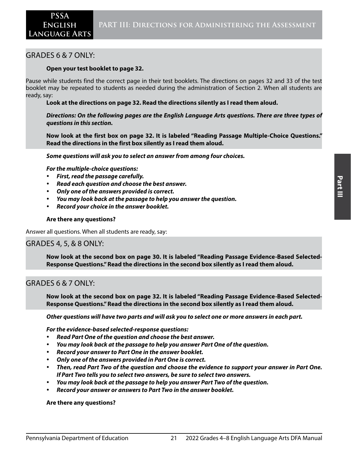## GRADES 6 & 7 ONLY:

**PSSA English Language Arts**

#### **Open your test booklet to page 32 .**

Pause while students find the correct page in their test booklets. The directions on pages 32 and 33 of the test booklet may be repeated to students as needed during the administration of Section 2. When all students are ready, say:

Look at the directions on page 32. Read the directions silently as I read them aloud.

*Directions: On the following pages are the English Language Arts questions. There are three types of questions in this section.*

**Now look at the first box on page 32 . It is labeled "Reading Passage Multiple-Choice Questions ." Read the directions in the first box silently as I read them aloud .**

*Some questions will ask you to select an answer from among four choices.*

*For the multiple-choice questions:*

- y *First, read the passage carefully.*
- y *Read each question and choose the best answer.*
- **Only one of the answers provided is correct.**
- y *You may look back at the passage to help you answer the question.*
- y *Record your choice in the answer booklet.*

#### **Are there any questions?**

Answer all questions. When all students are ready, say:

#### GRADES 4, 5, & 8 ONLY:

Now look at the second box on page 30. It is labeled "Reading Passage Evidence-Based Selected-**Response Questions ." Read the directions in the second box silently as I read them aloud .**

## GRADES 6 & 7 ONLY:

**Now look at the second box on page 32 . It is labeled "Reading Passage Evidence-Based Selected-Response Questions ." Read the directions in the second box silently as I read them aloud .**

*Other questions will have two parts and will ask you to select one or more answers in each part.*

*For the evidence-based selected-response questions:*

- y *Read Part One of the question and choose the best answer.*
- y *You may look back at the passage to help you answer Part One of the question.*
- y *Record your answer to Part One in the answer booklet.*
- Only one of the answers provided in Part One is correct.
- y *Then, read Part Two of the question and choose the evidence to support your answer in Part One. If Part Two tells you to select two answers, be sure to select two answers.*
- y *You may look back at the passage to help you answer Part Two of the question.*
- y *Record your answer or answers to Part Two in the answer booklet.*

#### **Are there any questions?**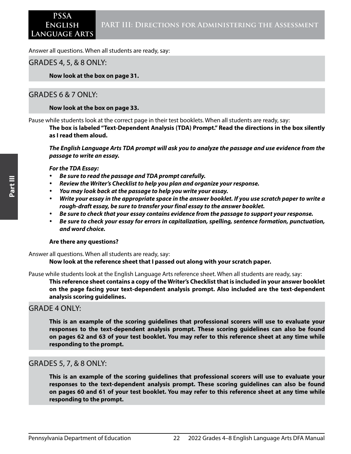Answer all questions. When all students are ready, say:

### GRADES 4, 5, & 8 ONLY:

**PSSA English Language Arts**

**Now look at the box on page 31 .**

## GRADES 6 & 7 ONLY:

#### **Now look at the box on page 33 .**

Pause while students look at the correct page in their test booklets. When all students are ready, say:

**The box is labeled "Text-Dependent Analysis (TDA) Prompt ." Read the directions in the box silently as I read them aloud .**

*The English Language Arts TDA prompt will ask you to analyze the passage and use evidence from the passage to write an essay.*

#### *For the TDA Essay:*

- Be sure to read the passage and TDA prompt carefully.
- y *Review the Writer's Checklist to help you plan and organize your response.*
- y *You may look back at the passage to help you write your essay.*
- Write your essay in the appropriate space in the answer booklet. If you use scratch paper to write a *rough-draft essay, be sure to transfer your final essay to the answer booklet.*
- y *Be sure to check that your essay contains evidence from the passage to support your response.*
- y *Be sure to check your essay for errors in capitalization, spelling, sentence formation, punctuation, and word choice.*

#### **Are there any questions?**

Answer all questions. When all students are ready, say:

#### **Now look at the reference sheet that I passed out along with your scratch paper .**

Pause while students look at the English Language Arts reference sheet. When all students are ready, say:

**This reference sheet contains a copy of the Writer's Checklist that is included in your answer booklet on the page facing your text-dependent analysis prompt . Also included are the text-dependent analysis scoring guidelines .**

### GRADE 4 ONLY:

**This is an example of the scoring guidelines that professional scorers will use to evaluate your**  responses to the text-dependent analysis prompt. These scoring quidelines can also be found on pages 62 and 63 of your test booklet. You may refer to this reference sheet at any time while **responding to the prompt.** 

## GRADES 5, 7, & 8 ONLY:

**This is an example of the scoring guidelines that professional scorers will use to evaluate your**  responses to the text-dependent analysis prompt. These scoring guidelines can also be found **on pages 60 and 61 of your test booklet . You may refer to this reference sheet at any time while responding to the prompt.**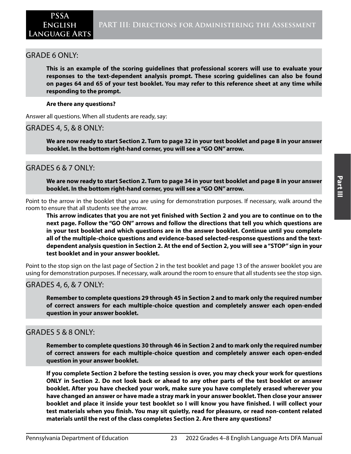## GRADE 6 ONLY:

**PSSA English Language Arts**

> **This is an example of the scoring guidelines that professional scorers will use to evaluate your**  responses to the text-dependent analysis prompt. These scoring quidelines can also be found **on pages 64 and 65 of your test booklet . You may refer to this reference sheet at any time while**  responding to the prompt.

#### **Are there any questions?**

Answer all questions. When all students are ready, say:

#### GRADES 4, 5, & 8 ONLY:

**We are now ready to start Section 2 . Turn to page 32 in your test booklet and page 8 in your answer booklet . In the bottom right-hand corner, you will see a "GO ON" arrow .**

## GRADES 6 & 7 ONLY:

**We are now ready to start Section 2 . Turn to page 34 in your test booklet and page 8 in your answer booklet . In the bottom right-hand corner, you will see a "GO ON" arrow .**

Point to the arrow in the booklet that you are using for demonstration purposes. If necessary, walk around the room to ensure that all students see the arrow.

**This arrow indicates that you are not yet finished with Section 2 and you are to continue on to the next page . Follow the "GO ON" arrows and follow the directions that tell you which questions are**  in your test booklet and which questions are in the answer booklet. Continue until you complete **all of the multiple-choice questions and evidence-based selected-response questions and the textdependent analysis question in Section 2 . At the end of Section 2, you will see a "STOP" sign in your test booklet and in your answer booklet .**

Point to the stop sign on the last page of Section 2 in the test booklet and page 13 of the answer booklet you are using for demonstration purposes. If necessary, walk around the room to ensure that all students see the stop sign.

#### GRADES 4, 6, & 7 ONLY:

**Remember to complete questions 29 through 45 in Section 2 and to mark only the required number of correct answers for each multiple-choice question and completely answer each open-ended question in your answer booklet .**

### GRADES 5 & 8 ONLY:

**Remember to complete questions 30 through 46 in Section 2 and to mark only the required number of correct answers for each multiple-choice question and completely answer each open-ended question in your answer booklet.** 

**If you complete Section 2 before the testing session is over, you may check your work for questions ONLY in Section 2 . Do not look back or ahead to any other parts of the test booklet or answer booklet . After you have checked your work, make sure you have completely erased wherever you have changed an answer or have made a stray mark in your answer booklet . Then close your answer booklet and place it inside your test booklet so I will know you have finished . I will collect your**  test materials when you finish. You may sit quietly, read for pleasure, or read non-content related **materials until the rest of the class completes Section 2 . Are there any questions?**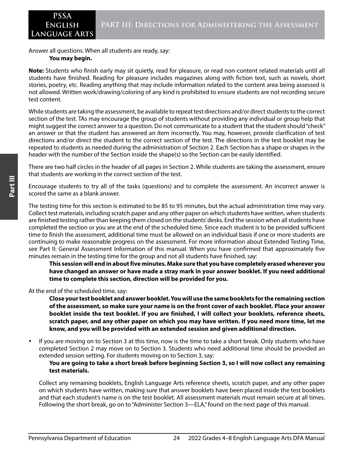Answer all questions. When all students are ready, say:

#### You may begin.

**PSSA English Language Arts**

**Note:** Students who finish early may sit quietly, read for pleasure, or read non-content related materials until all students have finished. Reading for pleasure includes magazines along with fiction text, such as novels, short stories, poetry, etc. Reading anything that may include information related to the content area being assessed is not allowed. Written work/drawing/coloring of any kind is prohibited to ensure students are not recording secure test content.

While students are taking the assessment, be available to repeat test directions and/or direct students to the correct section of the test. TAs may encourage the group of students without providing any individual or group help that might suggest the correct answer to a question. Do not communicate to a student that the student should "check" an answer or that the student has answered an item incorrectly. You may, however, provide clarification of test directions and/or direct the student to the correct section of the test. The directions in the test booklet may be repeated to students as needed during the administration of Section 2. Each Section has a shape or shapes in the header with the number of the Section inside the shape(s) so the Section can be easily identified.

There are two half circles in the header of all pages in Section 2. While students are taking the assessment, ensure that students are working in the correct section of the test.

Encourage students to try all of the tasks (questions) and to complete the assessment. An incorrect answer is scored the same as a blank answer.

The testing time for this section is estimated to be 85 to 95 minutes, but the actual administration time may vary. Collect test materials, including scratch paper and any other paper on which students have written, when students are finished testing rather than keeping them closed on the students' desks. End the session when all students have completed the section or you are at the end of the scheduled time. Since each student is to be provided sufficient time to finish the assessment, additional time must be allowed on an individual basis if one or more students are continuing to make reasonable progress on the assessment. For more information about Extended Testing Time, see Part II: General Assessment Information of this manual. When you have confirmed that approximately five minutes remain in the testing time for the group and not all students have finished, say:

**This session will end in about five minutes . Make sure that you have completely erased wherever you have changed an answer or have made a stray mark in your answer booklet . If you need additional time to complete this section, direction will be provided for you .**

At the end of the scheduled time, say:

**Close your test booklet and answer booklet . You will use the same booklets for the remaining section of the assessment, so make sure your name is on the front cover of each booklet . Place your answer booklet inside the test booklet . If you are finished, I will collect your booklets, reference sheets,**  scratch paper, and any other paper on which you may have written. If you need more time, let me **know, and you will be provided with an extended session and given additional direction .**

If you are moving on to Section 3 at this time, now is the time to take a short break. Only students who have completed Section 2 may move on to Section 3. Students who need additional time should be provided an extended session setting. For students moving on to Section 3, say:

#### **You are going to take a short break before beginning Section 3, so I will now collect any remaining test materials .**

Collect any remaining booklets, English Language Arts reference sheets, scratch paper, and any other paper on which students have written, making sure that answer booklets have been placed inside the test booklets and that each student's name is on the test booklet. All assessment materials must remain secure at all times. Following the short break, go on to "Administer Section 3—ELA," found on the next page of this manual.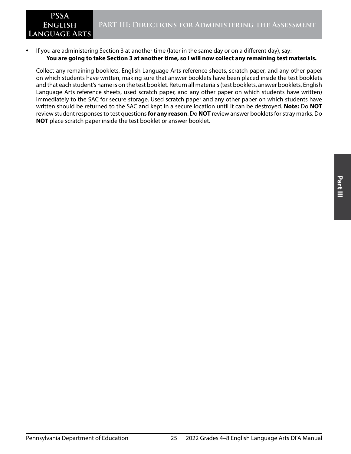If you are administering Section 3 at another time (later in the same day or on a different day), say: **You are going to take Section 3 at another time, so I will now collect any remaining test materials .**

Collect any remaining booklets, English Language Arts reference sheets, scratch paper, and any other paper on which students have written, making sure that answer booklets have been placed inside the test booklets and that each student's name is on the test booklet. Return all materials (test booklets, answer booklets, English Language Arts reference sheets, used scratch paper, and any other paper on which students have written) immediately to the SAC for secure storage. Used scratch paper and any other paper on which students have written should be returned to the SAC and kept in a secure location until it can be destroyed. **Note:** Do **NOT** review student responses to test questions **for any reason**. Do **NOT** review answer booklets for stray marks. Do **NOT** place scratch paper inside the test booklet or answer booklet.

**PSSA English**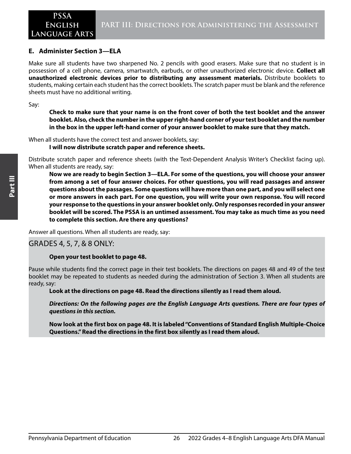#### **E.** Administer Section 3-ELA

<span id="page-29-0"></span>**PSSA English Language Arts**

Make sure all students have two sharpened No. 2 pencils with good erasers. Make sure that no student is in possession of a cell phone, camera, smartwatch, earbuds, or other unauthorized electronic device. **Collect all unauthorized electronic devices prior to distributing any assessment materials .** Distribute booklets to students, making certain each student has the correct booklets. The scratch paper must be blank and the reference sheets must have no additional writing.

Say:

**Check to make sure that your name is on the front cover of both the test booklet and the answer booklet . Also, check the number in the upper right-hand corner of your test booklet and the number in the box in the upper left-hand corner of your answer booklet to make sure that they match .**

When all students have the correct test and answer booklets, say:

**I will now distribute scratch paper and reference sheets .**

Distribute scratch paper and reference sheets (with the Text-Dependent Analysis Writer's Checklist facing up). When all students are ready, say:

**Now we are ready to begin Section 3—ELA . For some of the questions, you will choose your answer from among a set of four answer choices . For other questions, you will read passages and answer questions about the passages . Some questions will have more than one part, and you will select one or more answers in each part . For one question, you will write your own response . You will record your response to the questions in your answer booklet only . Only responses recorded in your answer booklet will be scored . The PSSA is an untimed assessment . You may take as much time as you need to complete this section . Are there any questions?**

Answer all questions. When all students are ready, say:

## GRADES 4, 5, 7, & 8 ONLY:

#### **Open your test booklet to page 48 .**

Pause while students find the correct page in their test booklets. The directions on pages 48 and 49 of the test booklet may be repeated to students as needed during the administration of Section 3. When all students are ready, say:

**Look at the directions on page 48 . Read the directions silently as I read them aloud .**

*Directions: On the following pages are the English Language Arts questions. There are four types of questions in this section.*

**Now look at the first box on page 48 . It is labeled "Conventions of Standard English Multiple-Choice Questions ." Read the directions in the first box silently as I read them aloud .**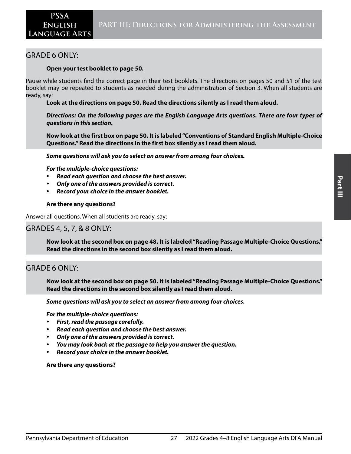## GRADE 6 ONLY:

**PSSA English Language Arts**

#### **Open your test booklet to page 50 .**

Pause while students find the correct page in their test booklets. The directions on pages 50 and 51 of the test booklet may be repeated to students as needed during the administration of Section 3. When all students are ready, say:

Look at the directions on page 50. Read the directions silently as I read them aloud.

*Directions: On the following pages are the English Language Arts questions. There are four types of questions in this section.*

**Now look at the first box on page 50 . It is labeled "Conventions of Standard English Multiple-Choice Questions ." Read the directions in the first box silently as I read them aloud .**

*Some questions will ask you to select an answer from among four choices.*

*For the multiple-choice questions:*

- **Read each question and choose the best answer.**
- **Only one of the answers provided is correct.**
- y *Record your choice in the answer booklet.*

#### **Are there any questions?**

Answer all questions. When all students are ready, say:

#### GRADES 4, 5, 7, & 8 ONLY:

**Now look at the second box on page 48 . It is labeled "Reading Passage Multiple-Choice Questions ." Read the directions in the second box silently as I read them aloud .**

## GRADE 6 ONLY:

**Now look at the second box on page 50 . It is labeled "Reading Passage Multiple-Choice Questions ." Read the directions in the second box silently as I read them aloud .**

*Some questions will ask you to select an answer from among four choices.*

*For the multiple-choice questions:*

- y *First, read the passage carefully.*
- y *Read each question and choose the best answer.*
- **Only one of the answers provided is correct.**
- y *You may look back at the passage to help you answer the question.*
- y *Record your choice in the answer booklet.*

#### **Are there any questions?**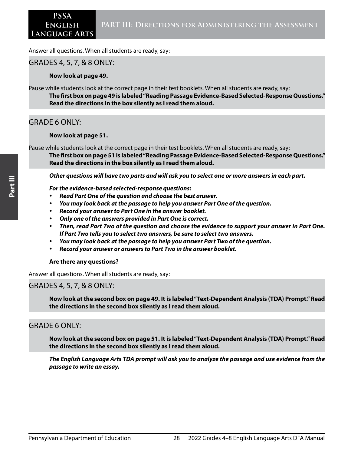Answer all questions. When all students are ready, say:

#### GRADES 4, 5, 7, & 8 ONLY:

**PSSA English Language Arts**

#### **Now look at page 49 .**

Pause while students look at the correct page in their test booklets. When all students are ready, say: **The first box on page 49 is labeled "Reading Passage Evidence-Based Selected-Response Questions ." Read the directions in the box silently as I read them aloud .**

### GRADE 6 ONLY:

#### **Now look at page 51 .**

Pause while students look at the correct page in their test booklets. When all students are ready, say:

**The first box on page 51 is labeled "Reading Passage Evidence-Based Selected-Response Questions ." Read the directions in the box silently as I read them aloud .**

*Other questions will have two parts and will ask you to select one or more answers in each part.*

*For the evidence-based selected-response questions:*

- y *Read Part One of the question and choose the best answer.*
- y *You may look back at the passage to help you answer Part One of the question.*
- y *Record your answer to Part One in the answer booklet.*
- Only one of the answers provided in Part One is correct.
- y *Then, read Part Two of the question and choose the evidence to support your answer in Part One. If Part Two tells you to select two answers, be sure to select two answers.*
- y *You may look back at the passage to help you answer Part Two of the question.*
- y *Record your answer or answers to Part Two in the answer booklet.*

#### **Are there any questions?**

Answer all questions. When all students are ready, say:

#### GRADES 4, 5, 7, & 8 ONLY:

**Now look at the second box on page 49 . It is labeled "Text-Dependent Analysis (TDA) Prompt ." Read the directions in the second box silently as I read them aloud .**

## GRADE 6 ONLY:

**Now look at the second box on page 51 . It is labeled "Text-Dependent Analysis (TDA) Prompt ." Read the directions in the second box silently as I read them aloud .**

*The English Language Arts TDA prompt will ask you to analyze the passage and use evidence from the passage to write an essay.*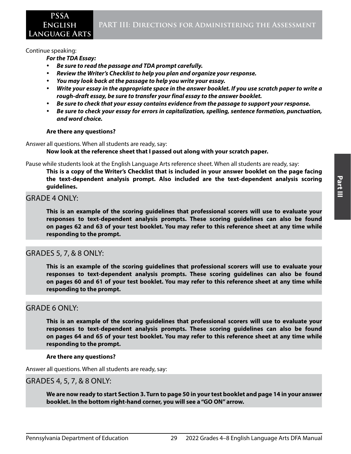#### Continue speaking:

**PSSA English Language Arts**

*For the TDA Essay:*

- Be sure to read the passage and TDA prompt carefully.
- y *Review the Writer's Checklist to help you plan and organize your response.*
- y *You may look back at the passage to help you write your essay.*
- y *Write your essay in the appropriate space in the answer booklet. If you use scratch paper to write a rough-draft essay, be sure to transfer your final essay to the answer booklet.*
- y *Be sure to check that your essay contains evidence from the passage to support your response.*
- **•** Be sure to check your essay for errors in capitalization, spelling, sentence formation, punctuation, *and word choice.*

#### **Are there any questions?**

Answer all questions. When all students are ready, say:

**Now look at the reference sheet that I passed out along with your scratch paper .**

Pause while students look at the English Language Arts reference sheet. When all students are ready, say:

**This is a copy of the Writer's Checklist that is included in your answer booklet on the page facing**  the text-dependent analysis prompt. Also included are the text-dependent analysis scoring **guidelines .**

## GRADE 4 ONLY:

**This is an example of the scoring guidelines that professional scorers will use to evaluate your**  responses to text-dependent analysis prompts. These scoring guidelines can also be found on pages 62 and 63 of your test booklet. You may refer to this reference sheet at any time while **responding to the prompt.** 

## GRADES 5, 7, & 8 ONLY:

**This is an example of the scoring guidelines that professional scorers will use to evaluate your**  responses to text-dependent analysis prompts. These scoring guidelines can also be found **on pages 60 and 61 of your test booklet . You may refer to this reference sheet at any time while responding to the prompt.** 

## GRADE 6 ONLY:

**This is an example of the scoring guidelines that professional scorers will use to evaluate your**  responses to text-dependent analysis prompts. These scoring quidelines can also be found on pages 64 and 65 of your test booklet. You may refer to this reference sheet at any time while responding to the prompt.

#### **Are there any questions?**

Answer all questions. When all students are ready, say:

## GRADES 4, 5, 7, & 8 ONLY:

**We are now ready to start Section 3 . Turn to page 50 in your test booklet and page 14 in your answer booklet . In the bottom right-hand corner, you will see a "GO ON" arrow .**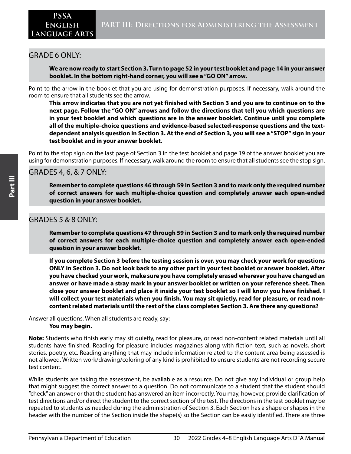## GRADE 6 ONLY:

**PSSA English Language Arts**

> **We are now ready to start Section 3 . Turn to page 52 in your test booklet and page 14 in your answer booklet . In the bottom right-hand corner, you will see a "GO ON" arrow .**

Point to the arrow in the booklet that you are using for demonstration purposes. If necessary, walk around the room to ensure that all students see the arrow.

**This arrow indicates that you are not yet finished with Section 3 and you are to continue on to the next page . Follow the "GO ON" arrows and follow the directions that tell you which questions are in your test booklet and which questions are in the answer booklet . Continue until you complete all of the multiple-choice questions and evidence-based selected-response questions and the textdependent analysis question in Section 3 . At the end of Section 3, you will see a "STOP" sign in your**  test booklet and in your answer booklet.

Point to the stop sign on the last page of Section 3 in the test booklet and page 19 of the answer booklet you are using for demonstration purposes. If necessary, walk around the room to ensure that all students see the stop sign.

## GRADES 4, 6, & 7 ONLY:

**Remember to complete questions 46 through 59 in Section 3 and to mark only the required number of correct answers for each multiple-choice question and completely answer each open-ended question in your answer booklet .**

## GRADES 5 & 8 ONLY:

**Remember to complete questions 47 through 59 in Section 3 and to mark only the required number of correct answers for each multiple-choice question and completely answer each open-ended question in your answer booklet .**

**If you complete Section 3 before the testing session is over, you may check your work for questions ONLY in Section 3 . Do not look back to any other part in your test booklet or answer booklet . After you have checked your work, make sure you have completely erased wherever you have changed an answer or have made a stray mark in your answer booklet or written on your reference sheet . Then close your answer booklet and place it inside your test booklet so I will know you have finished . I**  will collect your test materials when you finish. You may sit quietly, read for pleasure, or read non**content related materials until the rest of the class completes Section 3 . Are there any questions?**

Answer all questions. When all students are ready, say:

#### You may begin.

**Note:** Students who finish early may sit quietly, read for pleasure, or read non-content related materials until all students have finished. Reading for pleasure includes magazines along with fiction text, such as novels, short stories, poetry, etc. Reading anything that may include information related to the content area being assessed is not allowed. Written work/drawing/coloring of any kind is prohibited to ensure students are not recording secure test content.

While students are taking the assessment, be available as a resource. Do not give any individual or group help that might suggest the correct answer to a question. Do not communicate to a student that the student should "check" an answer or that the student has answered an item incorrectly. You may, however, provide clarification of test directions and/or direct the student to the correct section of the test. The directions in the test booklet may be repeated to students as needed during the administration of Section 3. Each Section has a shape or shapes in the header with the number of the Section inside the shape(s) so the Section can be easily identified. There are three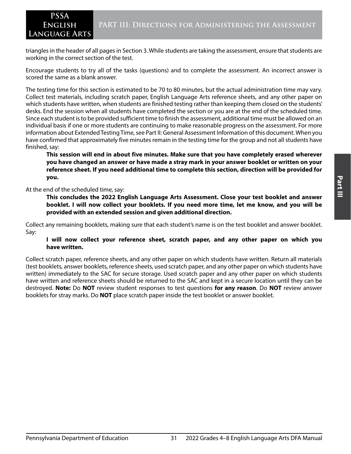triangles in the header of all pages in Section 3. While students are taking the assessment, ensure that students are working in the correct section of the test.

Encourage students to try all of the tasks (questions) and to complete the assessment. An incorrect answer is scored the same as a blank answer.

The testing time for this section is estimated to be 70 to 80 minutes, but the actual administration time may vary. Collect test materials, including scratch paper, English Language Arts reference sheets, and any other paper on which students have written, when students are finished testing rather than keeping them closed on the students' desks. End the session when all students have completed the section or you are at the end of the scheduled time. Since each student is to be provided sufficient time to finish the assessment, additional time must be allowed on an individual basis if one or more students are continuing to make reasonable progress on the assessment. For more information about Extended Testing Time, see Part II: General Assessment Information of this document. When you have confirmed that approximately five minutes remain in the testing time for the group and not all students have finished, say:

**This session will end in about five minutes . Make sure that you have completely erased wherever you have changed an answer or have made a stray mark in your answer booklet or written on your reference sheet . If you need additional time to complete this section, direction will be provided for you .**

At the end of the scheduled time, say:

**PSSA English Language Arts**

> **This concludes the 2022 English Language Arts Assessment . Close your test booklet and answer**  booklet. I will now collect your booklets. If you need more time, let me know, and you will be **provided with an extended session and given additional direction .**

Collect any remaining booklets, making sure that each student's name is on the test booklet and answer booklet. Say:

**I will now collect your reference sheet, scratch paper, and any other paper on which you**  have written.

Collect scratch paper, reference sheets, and any other paper on which students have written. Return all materials (test booklets, answer booklets, reference sheets, used scratch paper, and any other paper on which students have written) immediately to the SAC for secure storage. Used scratch paper and any other paper on which students have written and reference sheets should be returned to the SAC and kept in a secure location until they can be destroyed. **Note:** Do **NOT** review student responses to test questions **for any reason**. Do **NOT** review answer booklets for stray marks. Do **NOT** place scratch paper inside the test booklet or answer booklet.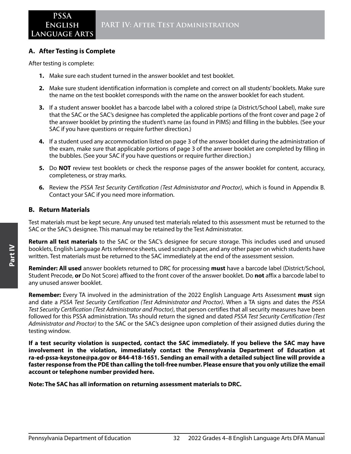## <span id="page-35-0"></span>**A . After Testing is Complete**

After testing is complete:

- **1.** Make sure each student turned in the answer booklet and test booklet.
- **2 .** Make sure student identification information is complete and correct on all students' booklets. Make sure the name on the test booklet corresponds with the name on the answer booklet for each student.
- **3 .** If a student answer booklet has a barcode label with a colored stripe (a District/School Label), make sure that the SAC or the SAC's designee has completed the applicable portions of the front cover and page 2 of the answer booklet by printing the student's name (as found in PIMS) and filling in the bubbles. (See your SAC if you have questions or require further direction.)
- **4 .** If a student used any accommodation listed on page 3 of the answer booklet during the administration of the exam, make sure that applicable portions of page 3 of the answer booklet are completed by filling in the bubbles. (See your SAC if you have questions or require further direction.)
- **5 .** Do **NOT** review test booklets or check the response pages of the answer booklet for content, accuracy, completeness, or stray marks.
- **6 .** Review the *PSSA Test Security Certification (Test Administrator and Proctor)*, which is found in [Appendix B.](#page-48-0) Contact your SAC if you need more information.

## **B.** Return Materials

Test materials must be kept secure. Any unused test materials related to this assessment must be returned to the SAC or the SAC's designee. This manual may be retained by the Test Administrator.

**Return all test materials** to the SAC or the SAC's designee for secure storage. This includes used and unused booklets, English Language Arts reference sheets, used scratch paper, and any other paper on which students have written. Test materials must be returned to the SAC immediately at the end of the assessment session.

**Reminder: All used** answer booklets returned to DRC for processing **must** have a barcode label (District/School, Student Precode, **or** Do Not Score) affixed to the front cover of the answer booklet. Do **not** affix a barcode label to any unused answer booklet.

**Remember:** Every TA involved in the administration of the 2022 English Language Arts Assessment **must** sign and date a *PSSA Test Security Certification (Test Administrator and Proctor)*. When a TA signs and dates the *PSSA Test Security Certification (Test Administrator and Proctor)*, that person certifies that all security measures have been followed for this PSSA administration. TAs should return the signed and dated *PSSA Test Security Certification (Test Administrator and Proctor)* to the SAC or the SAC's designee upon completion of their assigned duties during the testing window.

**If a test security violation is suspected, contact the SAC immediately . If you believe the SAC may have involvement in the violation, immediately contact the Pennsylvania Department of Education at [ra-ed-pssa-keystone@pa .gov](mailto:ra-ed-pssa-keystone%40pa.gov?subject=) or 844-418-1651 . Sending an email with a detailed subject line will provide a faster response from the PDE than calling the toll-free number . Please ensure that you only utilize the email account or telephone number provided here .**

**Note: The SAC has all information on returning assessment materials to DRC .**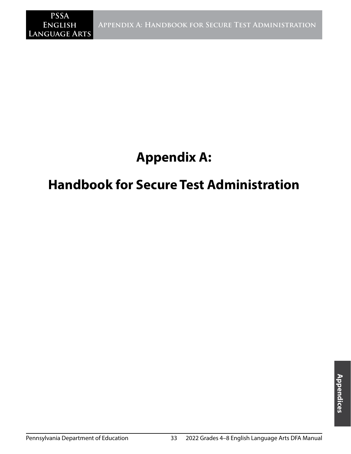## **Appendix A:**

## **Handbook for Secure Test Administration**

<span id="page-36-0"></span>**PSSA English Language Arts**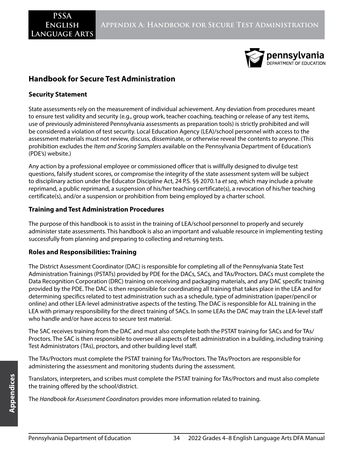

## **Handbook for Secure Test Administration**

### **Security Statement**

**PSSA English Language Arts**

State assessments rely on the measurement of individual achievement. Any deviation from procedures meant to ensure test validity and security (e.g., group work, teacher coaching, teaching or release of any test items, use of previously administered Pennsylvania assessments as preparation tools) is strictly prohibited and will be considered a violation of test security. Local Education Agency (LEA)/school personnel with access to the assessment materials must not review, discuss, disseminate, or otherwise reveal the contents to anyone. (This prohibition excludes the *Item and Scoring Samplers* available on the Pennsylvania Department of Education's (PDE's) website.)

Any action by a professional employee or commissioned officer that is willfully designed to divulge test questions, falsify student scores, or compromise the integrity of the state assessment system will be subject to disciplinary action under the Educator Discipline Act, 24 P.S. §§ 2070.1a *et seq*, which may include a private reprimand, a public reprimand, a suspension of his/her teaching certificate(s), a revocation of his/her teaching certificate(s), and/or a suspension or prohibition from being employed by a charter school.

## **Training and Test Administration Procedures**

The purpose of this handbook is to assist in the training of LEA/school personnel to properly and securely administer state assessments. This handbook is also an important and valuable resource in implementing testing successfully from planning and preparing to collecting and returning tests.

## **Roles and Responsibilities: Training**

The District Assessment Coordinator (DAC) is responsible for completing all of the Pennsylvania State Test Administration Trainings (PSTATs) provided by PDE for the DACs, SACs, and TAs/Proctors. DACs must complete the Data Recognition Corporation (DRC) training on receiving and packaging materials, and any DAC specific training provided by the PDE. The DAC is then responsible for coordinating all training that takes place in the LEA and for determining specifics related to test administration such as a schedule, type of administration (paper/pencil or online) and other LEA-level administrative aspects of the testing. The DAC is responsible for ALL training in the LEA with primary responsibility for the direct training of SACs. In some LEAs the DAC may train the LEA-level staff who handle and/or have access to secure test material.

The SAC receives training from the DAC and must also complete both the PSTAT training for SACs and for TAs/ Proctors. The SAC is then responsible to oversee all aspects of test administration in a building, including training Test Administrators (TAs), proctors, and other building level staff.

The TAs/Proctors must complete the PSTAT training for TAs/Proctors. The TAs/Proctors are responsible for administering the assessment and monitoring students during the assessment.

Translators, interpreters, and scribes must complete the PSTAT training for TAs/Proctors and must also complete the training offered by the school/district.

The *Handbook for Assessment Coordinators* provides more information related to training.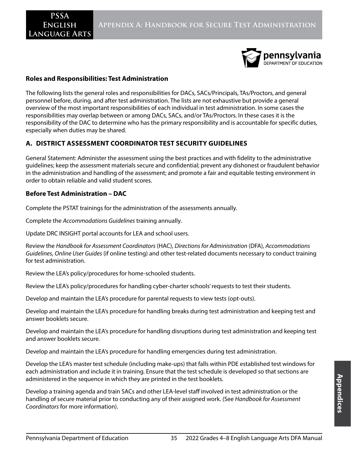

## **Roles and Responsibilities: Test Administration**

**PSSA English Language Arts**

The following lists the general roles and responsibilities for DACs, SACs/Principals, TAs/Proctors, and general personnel before, during, and after test administration. The lists are not exhaustive but provide a general overview of the most important responsibilities of each individual in test administration. In some cases the responsibilities may overlap between or among DACs, SACs, and/or TAs/Proctors. In these cases it is the responsibility of the DAC to determine who has the primary responsibility and is accountable for specific duties, especially when duties may be shared.

## **A . DISTRICT ASSESSMENT COORDINATOR TEST SECURITY GUIDELINES**

General Statement: Administer the assessment using the best practices and with fidelity to the administrative guidelines; keep the assessment materials secure and confidential; prevent any dishonest or fraudulent behavior in the administration and handling of the assessment; and promote a fair and equitable testing environment in order to obtain reliable and valid student scores.

### **Before Test Administration – DAC**

Complete the PSTAT trainings for the administration of the assessments annually.

Complete the *Accommodations Guidelines* training annually.

Update DRC INSIGHT portal accounts for LEA and school users.

Review the *Handbook for Assessment Coordinators* (HAC), *Directions for Administration* (DFA), *Accommodations Guidelines*, *Online User Guides* (if online testing) and other test-related documents necessary to conduct training for test administration.

Review the LEA's policy/procedures for home-schooled students.

Review the LEA's policy/procedures for handling cyber-charter schools' requests to test their students.

Develop and maintain the LEA's procedure for parental requests to view tests (opt-outs).

Develop and maintain the LEA's procedure for handling breaks during test administration and keeping test and answer booklets secure.

Develop and maintain the LEA's procedure for handling disruptions during test administration and keeping test and answer booklets secure.

Develop and maintain the LEA's procedure for handling emergencies during test administration.

Develop the LEA's master test schedule (including make-ups) that falls within PDE established test windows for each administration and include it in training. Ensure that the test schedule is developed so that sections are administered in the sequence in which they are printed in the test booklets.

Develop a training agenda and train SACs and other LEA-level staff involved in test administration or the handling of secure material prior to conducting any of their assigned work. (See *Handbook for Assessment Coordinators* for more information).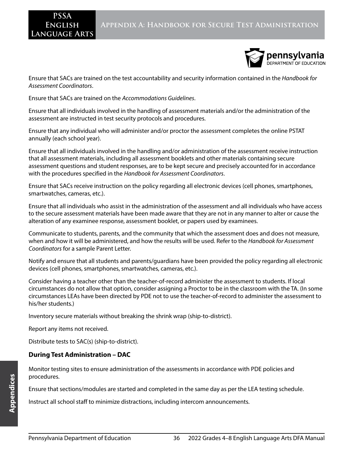

Ensure that SACs are trained on the test accountability and security information contained in the *Handbook for Assessment Coordinators*.

Ensure that SACs are trained on the *Accommodations Guidelines*.

**PSSA English Language Arts**

Ensure that all individuals involved in the handling of assessment materials and/or the administration of the assessment are instructed in test security protocols and procedures.

Ensure that any individual who will administer and/or proctor the assessment completes the online PSTAT annually (each school year).

Ensure that all individuals involved in the handling and/or administration of the assessment receive instruction that all assessment materials, including all assessment booklets and other materials containing secure assessment questions and student responses, are to be kept secure and precisely accounted for in accordance with the procedures specified in the *Handbook for Assessment Coordinators*.

Ensure that SACs receive instruction on the policy regarding all electronic devices (cell phones, smartphones, smartwatches, cameras, etc.).

Ensure that all individuals who assist in the administration of the assessment and all individuals who have access to the secure assessment materials have been made aware that they are not in any manner to alter or cause the alteration of any examinee response, assessment booklet, or papers used by examinees.

Communicate to students, parents, and the community that which the assessment does and does not measure, when and how it will be administered, and how the results will be used. Refer to the *Handbook for Assessment Coordinators* for a sample Parent Letter.

Notify and ensure that all students and parents/guardians have been provided the policy regarding all electronic devices (cell phones, smartphones, smartwatches, cameras, etc.).

Consider having a teacher other than the teacher-of-record administer the assessment to students. If local circumstances do not allow that option, consider assigning a Proctor to be in the classroom with the TA. (In some circumstances LEAs have been directed by PDE not to use the teacher-of-record to administer the assessment to his/her students.)

Inventory secure materials without breaking the shrink wrap (ship-to-district).

Report any items not received.

Distribute tests to SAC(s) (ship-to-district).

## **During Test Administration – DAC**

Monitor testing sites to ensure administration of the assessments in accordance with PDE policies and procedures.

Ensure that sections/modules are started and completed in the same day as per the LEA testing schedule.

Instruct all school staff to minimize distractions, including intercom announcements.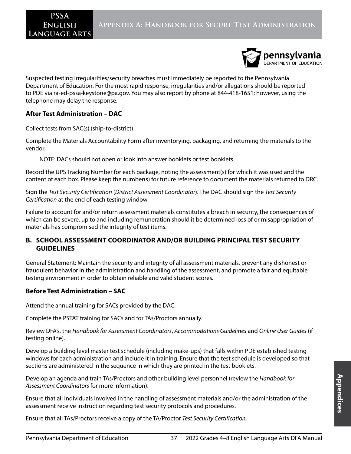



Suspected testing irregularities/security breaches must immediately be reported to the Pennsylvania Department of Education. For the most rapid response, irregularities and/or allegations should be reported to PDE via [ra-ed-pssa-keystone@pa.gov.](mailto:ra-ed-pssa-keystone%40pa.gov?subject=) You may also report by phone at 844-418-1651; however, using the telephone may delay the response.

## **After Test Administration – DAC**

Collect tests from SAC(s) (ship-to-district).

Complete the Materials Accountability Form after inventorying, packaging, and returning the materials to the vendor.

NOTE: DACs should not open or look into answer booklets or test booklets.

Record the UPS Tracking Number for each package, noting the assessment(s) for which it was used and the content of each box. Please keep the number(s) for future reference to document the materials returned to DRC.

Sign the *Test Security Certification* (*District Assessment Coordinator*). The DAC should sign the *Test Security Certification* at the end of each testing window.

Failure to account for and/or return assessment materials constitutes a breach in security, the consequences of which can be severe, up to and including remuneration should it be determined loss of or misappropriation of materials has compromised the integrity of test items.

## **B . SCHOOL ASSESSMENT COORDINATOR AND/OR BUILDING PRINCIPAL TEST SECURITY GUIDELINES**

General Statement: Maintain the security and integrity of all assessment materials, prevent any dishonest or fraudulent behavior in the administration and handling of the assessment, and promote a fair and equitable testing environment in order to obtain reliable and valid student scores.

## **Before Test Administration – SAC**

Attend the annual training for SACs provided by the DAC.

Complete the PSTAT training for SACs and for TAs/Proctors annually.

Review DFA's, the *Handbook for Assessment Coordinators*, *Accommodations Guidelines* and *Online User Guides* (if testing online).

Develop a building level master test schedule (including make-ups) that falls within PDE established testing windows for each administration and include it in training. Ensure that the test schedule is developed so that sections are administered in the sequence in which they are printed in the test booklets.

Develop an agenda and train TAs/Proctors and other building level personnel (review the *Handbook for Assessment Coordinators* for more information).

Ensure that all individuals involved in the handling of assessment materials and/or the administration of the assessment receive instruction regarding test security protocols and procedures.

Ensure that all TAs/Proctors receive a copy of the TA/Proctor *Test Security Certification*.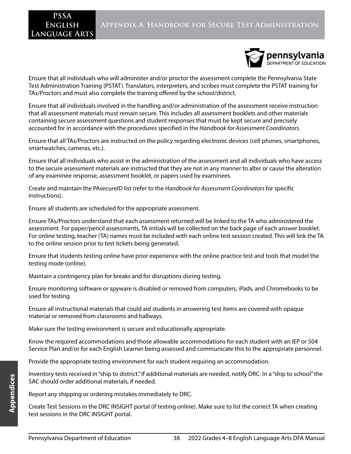## **PSSA English Language Arts**



Ensure that all individuals who will administer and/or proctor the assessment complete the Pennsylvania State Test Administration Training (PSTAT). Translators, interpreters, and scribes must complete the PSTAT training for TAs/Proctors and must also complete the training offered by the school/district.

Ensure that all individuals involved in the handling and/or administration of the assessment receive instruction that all assessment materials must remain secure. This includes all assessment booklets and other materials containing secure assessment questions and student responses that must be kept secure and precisely accounted for in accordance with the procedures specified in the *Handbook for Assessment Coordinators*.

Ensure that all TAs/Proctors are instructed on the policy regarding electronic devices (cell phones, smartphones, smartwatches, cameras, etc.).

Ensure that all individuals who assist in the administration of the assessment and all individuals who have access to the secure assessment materials are instructed that they are not in any manner to alter or cause the alteration of any examinee response, assessment booklet, or papers used by examinees.

Create and maintain the PAsecureID list (refer to the *Handbook for Assessment Coordinators* for specific instructions).

Ensure all students are scheduled for the appropriate assessment.

Ensure TAs/Proctors understand that each assessment returned will be linked to the TA who administered the assessment. For paper/pencil assessments, TA initials will be collected on the back page of each answer booklet. For online testing, teacher (TA) names must be included with each online test session created. This will link the TA to the online session prior to test tickets being generated.

Ensure that students testing online have prior experience with the online practice test and tools that model the testing mode (online).

Maintain a contingency plan for breaks and for disruptions during testing.

Ensure monitoring software or spyware is disabled or removed from computers, iPads, and Chromebooks to be used for testing.

Ensure all instructional materials that could aid students in answering test items are covered with opaque material or removed from classrooms and hallways.

Make sure the testing environment is secure and educationally appropriate.

Know the required accommodations and those allowable accommodations for each student with an IEP or 504 Service Plan and/or for each English Learner being assessed and communicate this to the appropriate personnel.

Provide the appropriate testing environment for each student requiring an accommodation.

Inventory tests received in "ship to district." If additional materials are needed, notify DRC. In a "ship to school" the SAC should order additional materials, if needed.

Report any shipping or ordering mistakes immediately to DRC.

Create Test Sessions in the DRC INSIGHT portal (if testing online). Make sure to list the correct TA when creating test sessions in the DRC INSIGHT portal.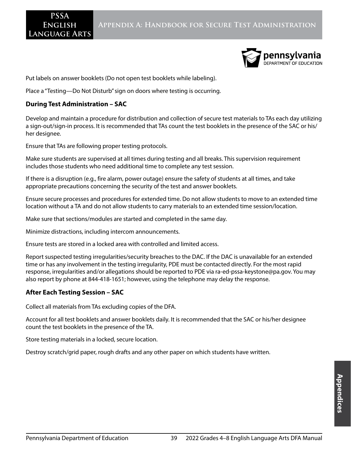

Put labels on answer booklets (Do not open test booklets while labeling).

Place a "Testing—Do Not Disturb" sign on doors where testing is occurring.

#### **During Test Administration – SAC**

**PSSA English Language Arts**

Develop and maintain a procedure for distribution and collection of secure test materials to TAs each day utilizing a sign-out/sign-in process. It is recommended that TAs count the test booklets in the presence of the SAC or his/ her designee.

Ensure that TAs are following proper testing protocols.

Make sure students are supervised at all times during testing and all breaks. This supervision requirement includes those students who need additional time to complete any test session.

If there is a disruption (e.g., fire alarm, power outage) ensure the safety of students at all times, and take appropriate precautions concerning the security of the test and answer booklets.

Ensure secure processes and procedures for extended time. Do not allow students to move to an extended time location without a TA and do not allow students to carry materials to an extended time session/location.

Make sure that sections/modules are started and completed in the same day.

Minimize distractions, including intercom announcements.

Ensure tests are stored in a locked area with controlled and limited access.

Report suspected testing irregularities/security breaches to the DAC. If the DAC is unavailable for an extended time or has any involvement in the testing irregularity, PDE must be contacted directly. For the most rapid response, irregularities and/or allegations should be reported to PDE via [ra-ed-pssa-keystone@pa.gov](mailto:ra-ed-pssa-keystone%40pa.gov?subject=). You may also report by phone at 844-418-1651; however, using the telephone may delay the response.

#### **After Each Testing Session – SAC**

Collect all materials from TAs excluding copies of the DFA.

Account for all test booklets and answer booklets daily. It is recommended that the SAC or his/her designee count the test booklets in the presence of the TA.

Store testing materials in a locked, secure location.

Destroy scratch/grid paper, rough drafts and any other paper on which students have written.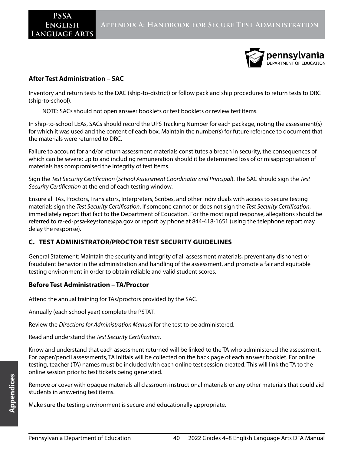# **pennsylvania**<br>DEPARTMENT OF EDUCATION

## **After Test Administration – SAC**

**PSSA English Language Arts**

Inventory and return tests to the DAC (ship-to-district) or follow pack and ship procedures to return tests to DRC (ship-to-school).

NOTE: SACs should not open answer booklets or test booklets or review test items.

In ship-to-school LEAs, SACs should record the UPS Tracking Number for each package, noting the assessment(s) for which it was used and the content of each box. Maintain the number(s) for future reference to document that the materials were returned to DRC.

Failure to account for and/or return assessment materials constitutes a breach in security, the consequences of which can be severe; up to and including remuneration should it be determined loss of or misappropriation of materials has compromised the integrity of test items.

Sign the *Test Security Certification* (*School Assessment Coordinator and Principal*). The SAC should sign the *Test Security Certification* at the end of each testing window.

Ensure all TAs, Proctors, Translators, Interpreters, Scribes, and other individuals with access to secure testing materials sign the *Test Security Certification*. If someone cannot or does not sign the *Test Security Certification*, immediately report that fact to the Department of Education. For the most rapid response, allegations should be referred to [ra-ed-pssa-keystone@pa.gov](mailto:ra-ed-pssa-keystone%40pa.gov?subject=) or report by phone at 844-418-1651 (using the telephone report may delay the response).

## **C . TEST ADMINISTRATOR/PROCTOR TEST SECURITY GUIDELINES**

General Statement: Maintain the security and integrity of all assessment materials, prevent any dishonest or fraudulent behavior in the administration and handling of the assessment, and promote a fair and equitable testing environment in order to obtain reliable and valid student scores.

## **Before Test Administration – TA/Proctor**

Attend the annual training for TAs/proctors provided by the SAC.

Annually (each school year) complete the PSTAT.

Review the *Directions for Administration Manual* for the test to be administered.

Read and understand the *Test Security Certification*.

Know and understand that each assessment returned will be linked to the TA who administered the assessment. For paper/pencil assessments, TA initials will be collected on the back page of each answer booklet. For online testing, teacher (TA) names must be included with each online test session created. This will link the TA to the online session prior to test tickets being generated.

Remove or cover with opaque materials all classroom instructional materials or any other materials that could aid students in answering test items.

Make sure the testing environment is secure and educationally appropriate.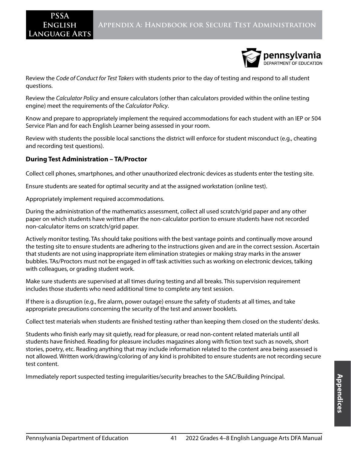

Review the *Code of Conduct for Test Takers* with students prior to the day of testing and respond to all student questions.

Review the *Calculator Policy* and ensure calculators (other than calculators provided within the online testing engine) meet the requirements of the *Calculator Policy*.

Know and prepare to appropriately implement the required accommodations for each student with an IEP or 504 Service Plan and for each English Learner being assessed in your room.

Review with students the possible local sanctions the district will enforce for student misconduct (e.g., cheating and recording test questions).

## **During Test Administration – TA/Proctor**

**PSSA English Language Arts**

Collect cell phones, smartphones, and other unauthorized electronic devices as students enter the testing site.

Ensure students are seated for optimal security and at the assigned workstation (online test).

Appropriately implement required accommodations.

During the administration of the mathematics assessment, collect all used scratch/grid paper and any other paper on which students have written after the non-calculator portion to ensure students have not recorded non-calculator items on scratch/grid paper.

Actively monitor testing. TAs should take positions with the best vantage points and continually move around the testing site to ensure students are adhering to the instructions given and are in the correct session. Ascertain that students are not using inappropriate item elimination strategies or making stray marks in the answer bubbles. TAs/Proctors must not be engaged in off task activities such as working on electronic devices, talking with colleagues, or grading student work.

Make sure students are supervised at all times during testing and all breaks. This supervision requirement includes those students who need additional time to complete any test session.

If there is a disruption (e.g., fire alarm, power outage) ensure the safety of students at all times, and take appropriate precautions concerning the security of the test and answer booklets.

Collect test materials when students are finished testing rather than keeping them closed on the students' desks.

Students who finish early may sit quietly, read for pleasure, or read non-content related materials until all students have finished. Reading for pleasure includes magazines along with fiction text such as novels, short stories, poetry, etc. Reading anything that may include information related to the content area being assessed is not allowed. Written work/drawing/coloring of any kind is prohibited to ensure students are not recording secure test content.

Immediately report suspected testing irregularities/security breaches to the SAC/Building Principal.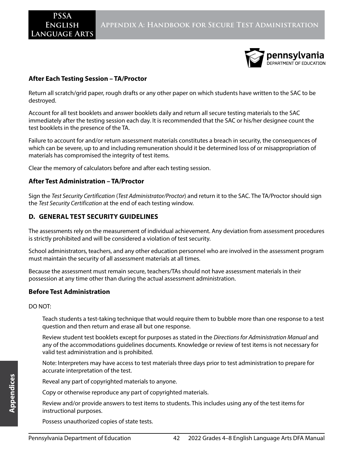

### **After Each Testing Session – TA/Proctor**

**PSSA English Language Arts**

Return all scratch/grid paper, rough drafts or any other paper on which students have written to the SAC to be destroyed.

Account for all test booklets and answer booklets daily and return all secure testing materials to the SAC immediately after the testing session each day. It is recommended that the SAC or his/her designee count the test booklets in the presence of the TA.

Failure to account for and/or return assessment materials constitutes a breach in security, the consequences of which can be severe, up to and including remuneration should it be determined loss of or misappropriation of materials has compromised the integrity of test items.

Clear the memory of calculators before and after each testing session.

#### **After Test Administration – TA/Proctor**

Sign the *Test Security Certification* (*Test Administrator/Proctor*) and return it to the SAC. The TA/Proctor should sign the *Test Security Certification* at the end of each testing window.

## **D. GENERAL TEST SECURITY GUIDELINES**

The assessments rely on the measurement of individual achievement. Any deviation from assessment procedures is strictly prohibited and will be considered a violation of test security.

School administrators, teachers, and any other education personnel who are involved in the assessment program must maintain the security of all assessment materials at all times.

Because the assessment must remain secure, teachers/TAs should not have assessment materials in their possession at any time other than during the actual assessment administration.

#### **Before Test Administration**

DO NOT:

Teach students a test-taking technique that would require them to bubble more than one response to a test question and then return and erase all but one response.

Review student test booklets except for purposes as stated in the *Directions for Administration Manual* and any of the accommodations guidelines documents. Knowledge or review of test items is not necessary for valid test administration and is prohibited.

Note: Interpreters may have access to test materials three days prior to test administration to prepare for accurate interpretation of the test.

Reveal any part of copyrighted materials to anyone.

Copy or otherwise reproduce any part of copyrighted materials.

Review and/or provide answers to test items to students. This includes using any of the test items for instructional purposes.

Possess unauthorized copies of state tests.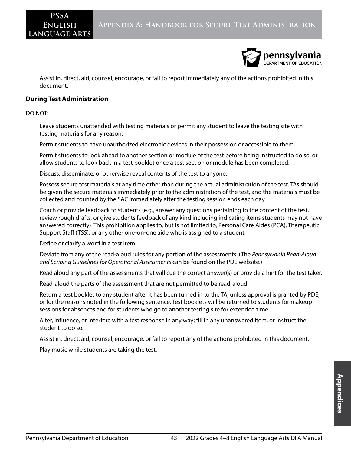

Assist in, direct, aid, counsel, encourage, or fail to report immediately any of the actions prohibited in this document.

#### **During Test Administration**

**PSSA English Language Arts**

DO NOT:

Leave students unattended with testing materials or permit any student to leave the testing site with testing materials for any reason.

Permit students to have unauthorized electronic devices in their possession or accessible to them.

Permit students to look ahead to another section or module of the test before being instructed to do so, or allow students to look back in a test booklet once a test section or module has been completed.

Discuss, disseminate, or otherwise reveal contents of the test to anyone.

Possess secure test materials at any time other than during the actual administration of the test. TAs should be given the secure materials immediately prior to the administration of the test, and the materials must be collected and counted by the SAC immediately after the testing session ends each day.

Coach or provide feedback to students (e.g., answer any questions pertaining to the content of the test, review rough drafts, or give students feedback of any kind including indicating items students may not have answered correctly). This prohibition applies to, but is not limited to, Personal Care Aides (PCA), Therapeutic Support Staff (TSS), or any other one-on-one aide who is assigned to a student.

Define or clarify a word in a test item.

Deviate from any of the read-aloud rules for any portion of the assessments. (The *Pennsylvania Read-Aloud and Scribing Guidelines for Operational Assessments* can be found on the PDE website.)

Read aloud any part of the assessments that will cue the correct answer(s) or provide a hint for the test taker.

Read-aloud the parts of the assessment that are not permitted to be read-aloud.

Return a test booklet to any student after it has been turned in to the TA, unless approval is granted by PDE, or for the reasons noted in the following sentence. Test booklets will be returned to students for makeup sessions for absences and for students who go to another testing site for extended time.

Alter, influence, or interfere with a test response in any way; fill in any unanswered item, or instruct the student to do so.

Assist in, direct, aid, counsel, encourage, or fail to report any of the actions prohibited in this document.

Play music while students are taking the test.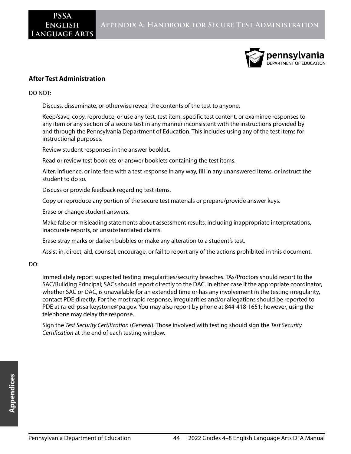

### **After Test Administration**

**PSSA English Language Arts**

DO NOT:

Discuss, disseminate, or otherwise reveal the contents of the test to anyone.

Keep/save, copy, reproduce, or use any test, test item, specific test content, or examinee responses to any item or any section of a secure test in any manner inconsistent with the instructions provided by and through the Pennsylvania Department of Education. This includes using any of the test items for instructional purposes.

Review student responses in the answer booklet.

Read or review test booklets or answer booklets containing the test items.

Alter, influence, or interfere with a test response in any way, fill in any unanswered items, or instruct the student to do so.

Discuss or provide feedback regarding test items.

Copy or reproduce any portion of the secure test materials or prepare/provide answer keys.

Erase or change student answers.

Make false or misleading statements about assessment results, including inappropriate interpretations, inaccurate reports, or unsubstantiated claims.

Erase stray marks or darken bubbles or make any alteration to a student's test.

Assist in, direct, aid, counsel, encourage, or fail to report any of the actions prohibited in this document.

DO:

Immediately report suspected testing irregularities/security breaches. TAs/Proctors should report to the SAC/Building Principal; SACs should report directly to the DAC. In either case if the appropriate coordinator, whether SAC or DAC, is unavailable for an extended time or has any involvement in the testing irregularity, contact PDE directly. For the most rapid response, irregularities and/or allegations should be reported to PDE at [ra-ed-pssa-keystone@pa.gov.](mailto:ra-ed-pssa-keystone%40pa.gov?subject=) You may also report by phone at 844-418-1651; however, using the telephone may delay the response.

Sign the *Test Security Certification* (*General*). Those involved with testing should sign the *Test Security Certification* at the end of each testing window.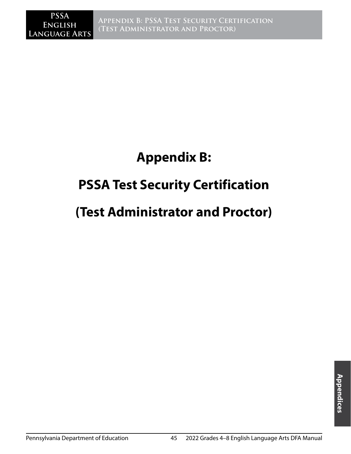# **Appendix B:**

# <span id="page-48-0"></span>**PSSA Test Security Certification**

## **(Test Administrator and Proctor)**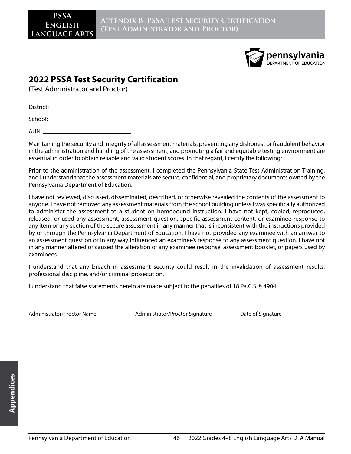

## **2022 PSSA Test Security Certification**

(Test Administrator and Proctor)

District:

School:

AUN:

Maintaining the security and integrity of all assessment materials, preventing any dishonest or fraudulent behavior in the administration and handling of the assessment, and promoting a fair and equitable testing environment are essential in order to obtain reliable and valid student scores. In that regard, I certify the following:

Prior to the administration of the assessment, I completed the Pennsylvania State Test Administration Training, and I understand that the assessment materials are secure, confidential, and proprietary documents owned by the Pennsylvania Department of Education.

I have not reviewed, discussed, disseminated, described, or otherwise revealed the contents of the assessment to anyone. I have not removed any assessment materials from the school building unless I was specifically authorized to administer the assessment to a student on homebound instruction. I have not kept, copied, reproduced, released, or used any assessment, assessment question, specific assessment content, or examinee response to any item or any section of the secure assessment in any manner that is inconsistent with the instructions provided by or through the Pennsylvania Department of Education. I have not provided any examinee with an answer to an assessment question or in any way influenced an examinee's response to any assessment question. I have not in any manner altered or caused the alteration of any examinee response, assessment booklet, or papers used by examinees.

I understand that any breach in assessment security could result in the invalidation of assessment results, professional discipline, and/or criminal prosecution.

I understand that false statements herein are made subject to the penalties of 18 Pa.C.S. § 4904.

Administrator/Proctor Name **Administrator/Proctor Signature** Date of Signature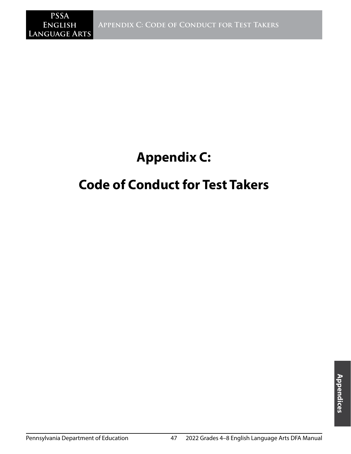<span id="page-50-0"></span>

# **Appendix C:**

# **Code of Conduct for Test Takers**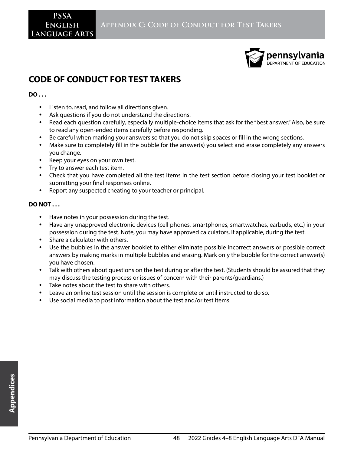

## **CODE OF CONDUCT FOR TEST TAKERS**

#### **DO . . .**

- Listen to, read, and follow all directions given.
- Ask questions if you do not understand the directions.
- Read each question carefully, especially multiple-choice items that ask for the "best answer." Also, be sure to read any open-ended items carefully before responding.
- Be careful when marking your answers so that you do not skip spaces or fill in the wrong sections.
- Make sure to completely fill in the bubble for the answer(s) you select and erase completely any answers you change.
- Keep your eyes on your own test.
- Try to answer each test item.
- Check that you have completed all the test items in the test section before closing your test booklet or submitting your final responses online.
- Report any suspected cheating to your teacher or principal.

## **DO NOT . . .**

- Have notes in your possession during the test.
- Have any unapproved electronic devices (cell phones, smartphones, smartwatches, earbuds, etc.) in your possession during the test. Note, you may have approved calculators, if applicable, during the test.
- Share a calculator with others.
- Use the bubbles in the answer booklet to either eliminate possible incorrect answers or possible correct answers by making marks in multiple bubbles and erasing. Mark only the bubble for the correct answer(s) you have chosen.
- Talk with others about questions on the test during or after the test. (Students should be assured that they may discuss the testing process or issues of concern with their parents/guardians.)
- Take notes about the test to share with others.
- Leave an online test session until the session is complete or until instructed to do so.
- Use social media to post information about the test and/or test items.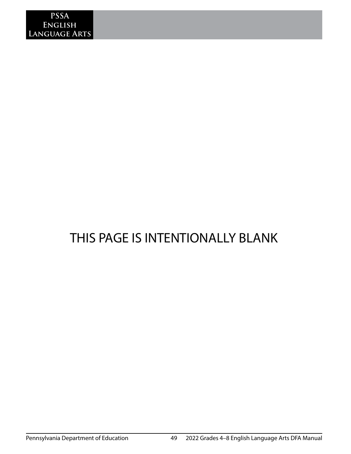

## THIS PAGE IS INTENTIONALLY BLANK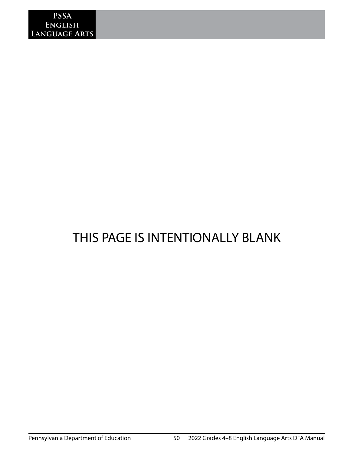# THIS PAGE IS INTENTIONALLY BLANK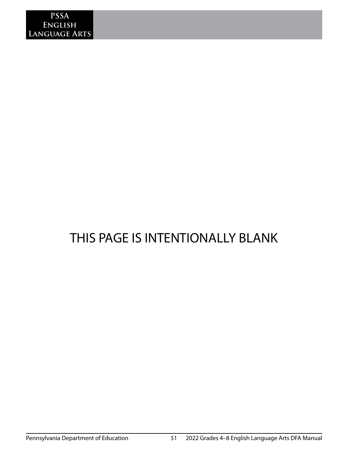

## THIS PAGE IS INTENTIONALLY BLANK